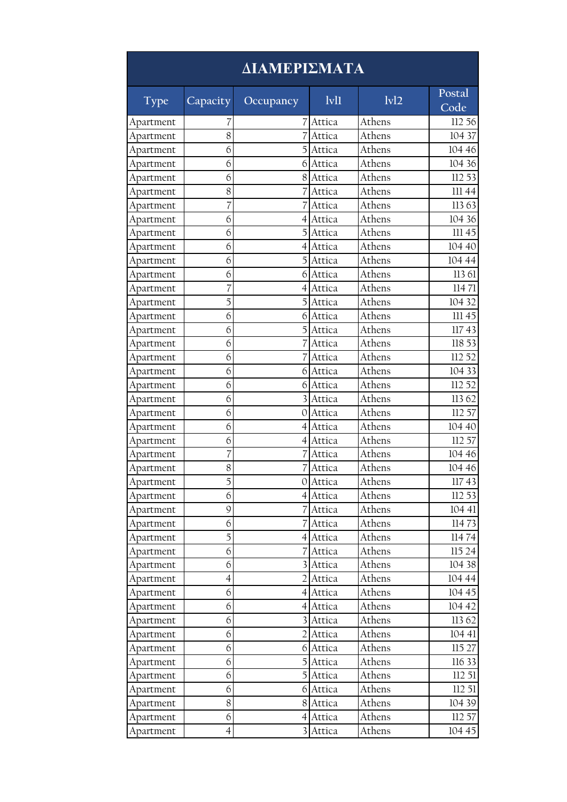| ΔΙΑΜΕΡΙΣΜΑΤΑ |                |                |          |        |                |  |
|--------------|----------------|----------------|----------|--------|----------------|--|
| <b>Type</b>  | Capacity       | Occupancy      | lvl1     | 1v12   | Postal<br>Code |  |
| Apartment    | 7              | 7              | Attica   | Athens | 112 56         |  |
| Apartment    | 8              |                | Attica   | Athens | 104 37         |  |
| Apartment    | 6              | 5              | Attica   | Athens | 104 46         |  |
| Apartment    | 6              | 6              | Attica   | Athens | 104 36         |  |
| Apartment    | 6              | 8              | Attica   | Athens | 112 53         |  |
| Apartment    | 8              |                | Attica   | Athens | III 44         |  |
| Apartment    | 7              |                | Attica   | Athens | 11363          |  |
| Apartment    | 6              | 4              | Attica   | Athens | 104 36         |  |
| Apartment    | 6              |                | Attica   | Athens | 111 45         |  |
| Apartment    | 6              | $\overline{4}$ | Attica   | Athens | 104 40         |  |
| Apartment    | 6              | 5              | Attica   | Athens | 104 44         |  |
| Apartment    | 6              | 6              | Attica   | Athens | 113 61         |  |
| Apartment    | 7              | 4              | Attica   | Athens | 11471          |  |
| Apartment    | 5              | 5              | Attica   | Athens | 104 32         |  |
| Apartment    | 6              | 6              | Attica   | Athens | 111 45         |  |
| Apartment    | 6              | 5              | Attica   | Athens | 11743          |  |
| Apartment    | 6              |                | Attica   | Athens | 118 53         |  |
| Apartment    | 6              |                | Attica   | Athens | 112 52         |  |
| Apartment    | 6              | 6              | Attica   | Athens | 104 33         |  |
| Apartment    | 6              | 6              | Attica   | Athens | 112 52         |  |
| Apartment    | 6              | 3              | Attica   | Athens | 11362          |  |
| Apartment    | 6              | 0              | Attica   | Athens | 112 57         |  |
| Apartment    | 6              | 4              | Attica   | Athens | 104 40         |  |
| Apartment    | 6              | $\overline{4}$ | Attica   | Athens | 112 57         |  |
| Apartment    | 7              |                | Attica   | Athens | 104 46         |  |
| Apartment    | 8              |                | Attica   | Athens | 104 46         |  |
| Apartment    | 5              |                | 0 Attica | Athens | 11743          |  |
| Apartment    | 6              |                | 4 Attica | Athens | 112 53         |  |
| Apartment    | 9              |                | 7 Attica | Athens | 104 41         |  |
| Apartment    | 6              |                | Attica   | Athens | 11473          |  |
| Apartment    | 5              |                | 4 Attica | Athens | 11474          |  |
| Apartment    | 6              |                | Attica   | Athens | 115 24         |  |
| Apartment    | 6              |                | Attica   | Athens | 104 38         |  |
| Apartment    | $\overline{4}$ |                | Attica   | Athens | 104 44         |  |
| Apartment    | 6              |                | 4 Attica | Athens | 104 45         |  |
| Apartment    | 6              |                | 4 Attica | Athens | 104 42         |  |
| Apartment    | 6              |                | Attica   | Athens | 113 62         |  |
| Apartment    | 6              |                | Attica   | Athens | 104 41         |  |
| Apartment    | 6              | 6              | Attica   | Athens | 115 27         |  |
| Apartment    | 6              | 5.             | Attica   | Athens | 116 33         |  |
| Apartment    | 6              |                | 5 Attica | Athens | 11251          |  |
| Apartment    | 6              | 6              | Attica   | Athens | 11251          |  |
| Apartment    | 8              | 8              | Attica   | Athens | 104 39         |  |
| Apartment    | 6              | 4              | Attica   | Athens | 112 57         |  |
| Apartment    | $\overline{4}$ | 3              | Attica   | Athens | 104 45         |  |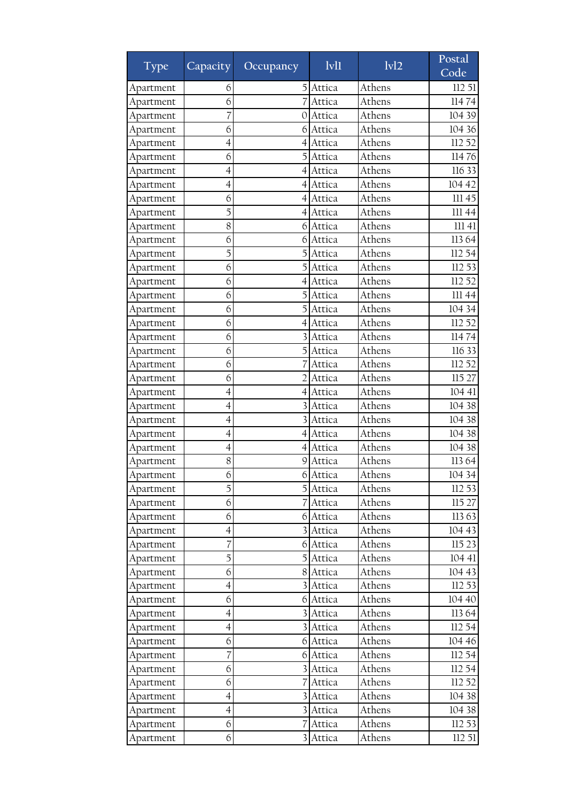| Type                   | Capacity <sup>1</sup>    | Occupancy      | $1$ v $1$ | 1v12   | Postal<br>Code   |
|------------------------|--------------------------|----------------|-----------|--------|------------------|
| Apartment              | 6                        | 5              | Attica    | Athens | 112 51           |
| Apartment              | 6                        |                | Attica    | Athens | 11474            |
| Apartment              | 7                        | 0              | Attica    | Athens | 104 39           |
| Apartment              | 6                        | 61             | Attica    | Athens | 104 36           |
| Apartment              | $\overline{4}$           | 4              | Attica    | Athens | 112 52           |
| Apartment              | 6                        | 5              | Attica    | Athens | 11476            |
| Apartment              | $\overline{4}$           | $\overline{4}$ | Attica    | Athens | 116 33           |
| Apartment              | 4                        | 4              | Attica    | Athens | 104 42           |
| Apartment              | 6                        | 4              | Attica    | Athens | 111 45           |
| Apartment              | 5                        | $\overline{4}$ | Attica    | Athens | III 44           |
| Apartment              | 8                        | 6              | Attica    | Athens | 111 41           |
| Apartment              | 6                        | 6              | Attica    | Athens | 11364            |
| Apartment              | 5                        | 5              | Attica    | Athens | 112 54           |
| Apartment              | 6                        |                | Attica    | Athens | 112 53           |
| Apartment              | 6                        | 4              | Attica    | Athens | 112 52           |
| Apartment              | 6                        |                | Attica    | Athens | 111 44           |
| Apartment              | 6                        |                | Attica    | Athens | 104 34           |
| Apartment              | 6                        | 4              | Attica    | Athens | 112 52           |
| Apartment              | 6                        |                | Attica    | Athens | 11474            |
| Apartment              | 6                        |                | Attica    | Athens | 116 33           |
| Apartment              | 6                        |                | Attica    | Athens | 112 52           |
| Apartment              | 6                        |                | Attica    | Athens | 115 27           |
| Apartment              | 4                        | 4              | Attica    | Athens | 104 41           |
| Apartment              | $\overline{4}$           | 3              | Attica    | Athens | 104 38           |
| Apartment              | 4                        | 3              | Attica    | Athens | 104 38           |
| Apartment              | $\overline{4}$           | $\overline{4}$ | Attica    | Athens | 104 38           |
| Apartment              | 4                        | 4              | Attica    | Athens | 104 38           |
| Apartment              | 8                        | 9              | Attica    | Athens | 11364            |
| Apartment              | 6                        | $6\vert$       | Attica    | Athens | 104 34           |
| Apartment              | 5                        |                | 5 Attica  | Athens | 112 53           |
| Apartment              | 6                        |                | Attica    | Athens | 115 27           |
| Apartment              | 6                        | 6              | Attica    | Athens | 11363            |
| Apartment              | $\overline{4}$           |                | Attica    | Athens | 104 43           |
|                        | 7                        | 61             |           | Athens |                  |
| Apartment<br>Apartment | 5                        | 51             | Attica    | Athens | 115 23<br>104 41 |
|                        | 6                        |                | Attica    | Athens | 104 43           |
| Apartment              |                          |                | 8 Attica  |        | 112 53           |
| Apartment              | 4                        | 3              | Attica    | Athens |                  |
| Apartment              | 6                        | 6              | Attica    | Athens | 104 40           |
| Apartment              | 4                        |                | Attica    | Athens | 113 64           |
| Apartment              | $\overline{4}$           | $\overline{3}$ | Attica    | Athens | 112 54           |
| Apartment              | 6                        | 61             | Attica    | Athens | 104 46           |
| Apartment              | 7                        | 6              | Attica    | Athens | 112 54           |
| Apartment              | 6                        | $\frac{3}{2}$  | Attica    | Athens | 112 54           |
| Apartment              | 6                        |                | Attica    | Athens | 112 52           |
| Apartment              | $\overline{4}$           |                | Attica    | Athens | 104 38           |
| Apartment              | $\overline{\mathcal{A}}$ |                | Attica    | Athens | 104 38           |
| Apartment              | 6                        | 7              | Attica    | Athens | 112 53           |
| Apartment              | 6                        | $\frac{3}{ }$  | Attica    | Athens | 11251            |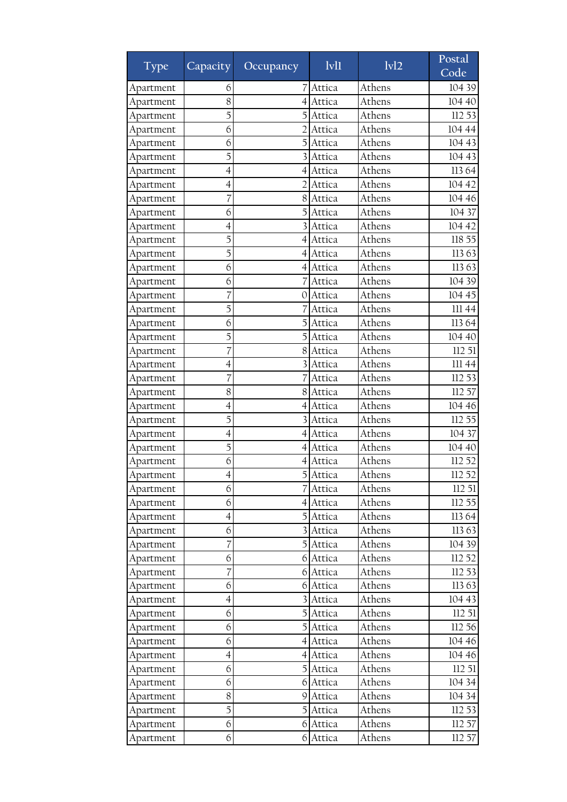| Type      | Capacity       | Occupancy               | 1v11     | 1v12   | Postal<br>Code |
|-----------|----------------|-------------------------|----------|--------|----------------|
| Apartment | 6              |                         | Attica   | Athens | 104 39         |
| Apartment | 8              |                         | Attica   | Athens | 104 40         |
| Apartment | 5              |                         | Attica   | Athens | 112 53         |
| Apartment | 6              |                         | Attica   | Athens | 104 44         |
| Apartment | 6              | 5                       | Attica   | Athens | 104 43         |
| Apartment | 5              |                         | Attica   | Athens | 104 43         |
| Apartment | 4              | 4                       | Attica   | Athens | 11364          |
| Apartment | 4              |                         | Attica   | Athens | 104 42         |
| Apartment | 7              | 8                       | Attica   | Athens | 104 46         |
| Apartment | 6              | 5                       | Attica   | Athens | 104 37         |
| Apartment | $\overline{4}$ |                         | Attica   | Athens | 104 42         |
| Apartment | 5              | 4                       | Attica   | Athens | 118 55         |
| Apartment | 5              | 4                       | Attica   | Athens | 11363          |
| Apartment | 6              | $\left 4\right $        | Attica   | Athens | 11363          |
| Apartment | 6              |                         | Attica   | Athens | 104 39         |
| Apartment | 7              | 0                       | Attica   | Athens | 104 45         |
| Apartment | 5              |                         | Attica   | Athens | 111 44         |
| Apartment | 6              |                         | Attica   | Athens | 11364          |
| Apartment | 5              | 5                       | Attica   | Athens | 104 40         |
| Apartment | 7              | 8                       | Attica   | Athens | 112 51         |
| Apartment | $\overline{4}$ |                         | Attica   | Athens | 111 44         |
| Apartment | 7              |                         | Attica   | Athens | 112 53         |
| Apartment | 8              | 81                      | Attica   | Athens | 112 57         |
| Apartment | $\overline{4}$ | 4                       | Attica   | Athens | 104 46         |
| Apartment | 5              |                         | Attica   | Athens | 112 55         |
| Apartment | 4              | 4                       | Attica   | Athens | 104 37         |
| Apartment | 5              | 4                       | Attica   | Athens | 104 40         |
| Apartment | 6              | 4                       | Attica   | Athens | 112 52         |
| Apartment | 4              | 5                       | Attica   | Athens | 112 52         |
| Apartment | 6              |                         | Attica   | Athens | 112 51         |
| Apartment | 6              |                         | 4 Attica | Athens | 112 55         |
| Apartment | 4              | 5                       | Attica   | Athens | 11364          |
| Apartment | 6              | $\overline{3}$          | Attica   | Athens | 11363          |
| Apartment | 7              |                         | Attica   | Athens | 104 39         |
| Apartment | 6              | 6                       | Attica   | Athens | 112 52         |
| Apartment | 7              |                         | 6 Attica | Athens | 112 53         |
| Apartment | 6              | 6                       | Attica   | Athens | 11363          |
| Apartment | $\overline{4}$ | $\overline{\mathbf{3}}$ | Attica   | Athens | 104 43         |
| Apartment | 6              | 5                       | Attica   | Athens | 112 51         |
| Apartment | 6              |                         | Attica   | Athens | 112 56         |
| Apartment | 6              | 41                      | Attica   | Athens | 104 46         |
| Apartment | $\overline{4}$ | 41                      | Attica   | Athens | 104 46         |
| Apartment | 6              | $\overline{5}$          | Attica   | Athens | 112 51         |
| Apartment | 6              | 6                       | Attica   | Athens | 104 34         |
| Apartment | 8              |                         | 9 Attica | Athens | 104 34         |
| Apartment | 5              | 5                       | Attica   | Athens | 112 53         |
| Apartment | 6              | 6                       | Attica   | Athens | 112 57         |
| Apartment | 6              | 6                       | Attica   | Athens | 112 57         |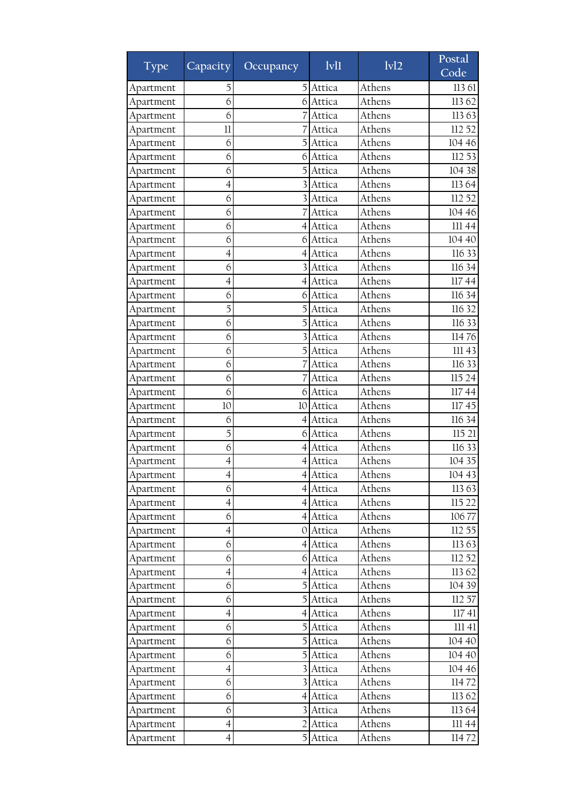| Type      | Capacity <sup>1</sup>    | Occupancy      | $1$ v $1$ | $\overline{ivl2}$ | Postal<br>Code |
|-----------|--------------------------|----------------|-----------|-------------------|----------------|
| Apartment | 5                        | 5              | Attica    | Athens            | 113 61         |
| Apartment | 6                        | 6              | Attica    | Athens            | 11362          |
| Apartment | 6                        |                | Attica    | Athens            | 11363          |
| Apartment | 11                       |                | Attica    | Athens            | 112 52         |
| Apartment | 6                        | 5              | Attica    | Athens            | 104 46         |
| Apartment | 6                        | 6              | Attica    | Athens            | 112 53         |
| Apartment | 6                        | 5              | Attica    | Athens            | 104 38         |
| Apartment | $\overline{4}$           |                | Attica    | Athens            | 11364          |
| Apartment | 6                        |                | Attica    | Athens            | 112 52         |
| Apartment | 6                        |                | Attica    | Athens            | 104 46         |
| Apartment | 6                        | 4              | Attica    | Athens            | 111 44         |
| Apartment | 6                        | 6              | Attica    | Athens            | 104 40         |
| Apartment | 4                        | 4              | Attica    | Athens            | 116 33         |
| Apartment | 6                        |                | Attica    | Athens            | 116 34         |
| Apartment | $\overline{4}$           | 4              | Attica    | Athens            | 11744          |
| Apartment | 6                        | 6              | Attica    | Athens            | 116 34         |
| Apartment | 5                        |                | Attica    | Athens            | 116 32         |
| Apartment | 6                        | 5              | Attica    | Athens            | 116 33         |
| Apartment | 6                        |                | Attica    | Athens            | 11476          |
| Apartment | 6                        |                | Attica    | Athens            | III 43         |
| Apartment | 6                        |                | Attica    | Athens            | 116 33         |
| Apartment | 6                        |                | Attica    | Athens            | 115 24         |
| Apartment | 6                        | 61             | Attica    | Athens            | 11744          |
| Apartment | 10                       | 10             | Attica    | Athens            | 11745          |
| Apartment | 6                        | 4              | Attica    | Athens            | 116 34         |
| Apartment | 5                        | 6              | Attica    | Athens            | 115 21         |
| Apartment | 6                        | 4              | Attica    | Athens            | 116 33         |
| Apartment | 4                        | 4              | Attica    | Athens            | 104 35         |
| Apartment | $\overline{4}$           |                | 4 Attica  | Athens            | 104 43         |
| Apartment | 6                        |                | 4 Attica  | Athens            | 11363          |
| Apartment | $\overline{4}$           |                | 4 Attica  | Athens            | 115 22         |
| Apartment | 6                        | 4              | Attica    | Athens            | 10677          |
| Apartment | $\overline{4}$           | OI             | Attica    | Athens            | 112 55         |
| Apartment | 6                        | 41             | Attica    | Athens            | 113 63         |
| Apartment | 6                        |                | 6 Attica  | Athens            | 112 52         |
| Apartment | $\overline{\mathcal{A}}$ |                | 4 Attica  | Athens            | 11362          |
| Apartment | 6                        | 5              | Attica    | Athens            | 104 39         |
| Apartment | 6                        | 5              | Attica    | Athens            | 112 57         |
| Apartment | 4                        | 4              | Attica    | Athens            | 11741          |
| Apartment | 6                        | 5              | Attica    | Athens            | 11141          |
| Apartment | 6                        |                | Attica    | Athens            | 104 40         |
| Apartment | 6                        | 5              | Attica    | Athens            | 104 40         |
| Apartment | $\overline{4}$           | $\frac{3}{2}$  | Attica    | Athens            | 104 46         |
| Apartment | 6                        |                | Attica    | Athens            | 11472          |
| Apartment | 6                        | $\overline{4}$ | Attica    | Athens            | 11362          |
| Apartment | 6                        |                | Attica    | Athens            | 11364          |
| Apartment | $\overline{4}$           | 2              | Attica    | Athens            | III 44         |
| Apartment | $\overline{4}$           | $\overline{5}$ | Attica    | Athens            | 11472          |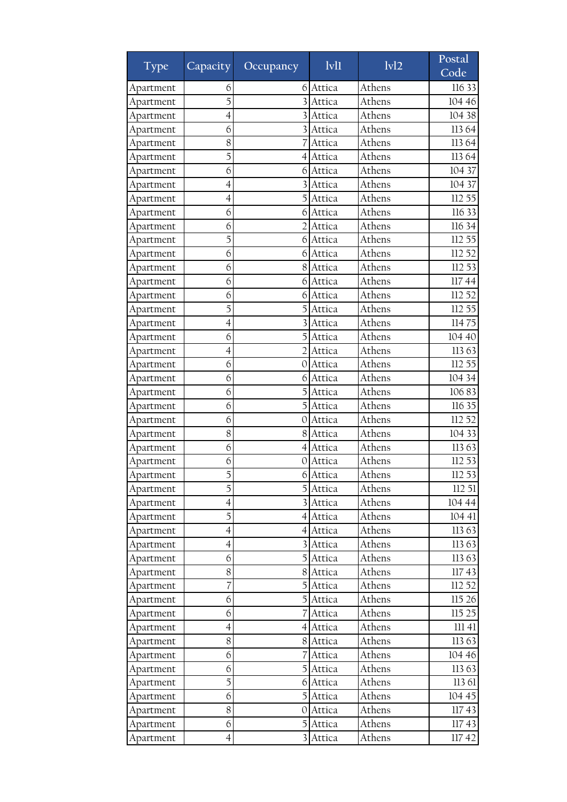| Type                   | Capacity <sup>1</sup> | Occupancy               | $1$ v $1$ | 1v12   | Postal<br>Code |
|------------------------|-----------------------|-------------------------|-----------|--------|----------------|
| Apartment              | 6                     | 6                       | Attica    | Athens | 116 33         |
| Apartment              | 5                     |                         | Attica    | Athens | 104 46         |
| Apartment              | $\overline{4}$        |                         | Attica    | Athens | 104 38         |
| Apartment              | 6                     |                         | Attica    | Athens | 11364          |
| Apartment              | 8                     |                         | Attica    | Athens | 113 64         |
| Apartment              | 5                     | 4                       | Attica    | Athens | 11364          |
| Apartment              | 6                     | 6                       | Attica    | Athens | 104 37         |
| Apartment              | 4                     |                         | Attica    | Athens | 104 37         |
| Apartment              | 4                     |                         | Attica    | Athens | 112 55         |
| Apartment              | 6                     | 6                       | Attica    | Athens | 116 33         |
| Apartment              | 6                     |                         | Attica    | Athens | 116 34         |
| Apartment              | 5                     | 6                       | Attica    | Athens | 112 55         |
| Apartment              | 6                     | 6                       | Attica    | Athens | 112 52         |
| Apartment              | 6                     | 8                       | Attica    | Athens | 112 53         |
| Apartment              | 6                     | 6                       | Attica    | Athens | 11744          |
| Apartment              | 6                     | 6                       | Attica    | Athens | 112 52         |
| Apartment              | 5                     |                         | Attica    | Athens | 112 55         |
| Apartment              | 4                     |                         | Attica    | Athens | 11475          |
| Apartment              | 6                     | 5                       | Attica    | Athens | 104 40         |
| Apartment              | 4                     | 2                       | Attica    | Athens | 11363          |
| Apartment              | 6                     | 0                       | Attica    | Athens | 112 55         |
|                        | 6                     | 6                       | Attica    | Athens | 104 34         |
| Apartment<br>Apartment | 6                     |                         | Attica    | Athens | 10683          |
| Apartment              | 6                     | 5                       | Attica    | Athens | 116 35         |
|                        | 6                     | 0                       | Attica    | Athens | 112 52         |
| Apartment              | 8                     | 8                       | Attica    | Athens | 104 33         |
| Apartment              | 6                     | 4                       | Attica    | Athens | 11363          |
| Apartment              |                       |                         |           | Athens | 112 53         |
| Apartment              | 6<br>5                | 0                       | Attica    | Athens |                |
| Apartment              |                       | 6                       | Attica    |        | 112 53         |
| Apartment              | 5                     |                         | 5 Attica  | Athens | 112 51         |
| Apartment              | $\overline{4}$        |                         | Attica    | Athens | 104 44         |
| Apartment              | 5                     | 4                       | Attica    | Athens | 104 41         |
| Apartment              | $\overline{4}$        | 41                      | Attica    | Athens | 113 63         |
| Apartment              | $\overline{4}$        |                         | Attica    | Athens | 11363          |
| Apartment              | 6                     | 51                      | Attica    | Athens | 11363          |
| Apartment              | 8                     | 8                       | Attica    | Athens | 11743          |
| Apartment              | 7                     | 5                       | Attica    | Athens | 112 52         |
| Apartment              | 6                     | 5                       | Attica    | Athens | 115 26         |
| Apartment              | 6                     |                         | Attica    | Athens | 115 25         |
| Apartment              | $\overline{4}$        |                         | 4 Attica  | Athens | 11141          |
| Apartment              | 8                     | 8                       | Attica    | Athens | 11363          |
| Apartment              | 6                     |                         | Attica    | Athens | 104 46         |
| Apartment              | 6                     | $\mathbf{5}$            | Attica    | Athens | 11363          |
| Apartment              | 5                     | 6                       | Attica    | Athens | 113 61         |
| Apartment              | 6                     | $\overline{5}$          | Attica    | Athens | 104 45         |
| Apartment              | 8                     | 0                       | Attica    | Athens | 11743          |
| Apartment              | 6                     | 5                       | Attica    | Athens | 11743          |
| Apartment              | $\overline{4}$        | $\overline{\mathbf{3}}$ | Attica    | Athens | 11742          |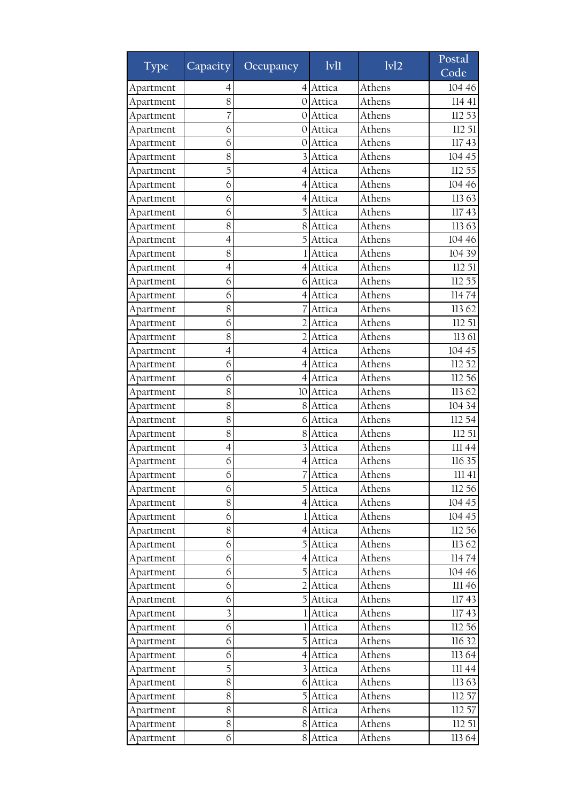| Type      | Capacity <sup>1</sup>   | Occupancy        | $1$ v $1$ | $\overline{ivl2}$ | Postal<br>Code |
|-----------|-------------------------|------------------|-----------|-------------------|----------------|
| Apartment | 4                       | 41               | Attica    | Athens            | 104 46         |
| Apartment | 8                       | O                | Attica    | Athens            | 114 41         |
| Apartment | 7                       | 0                | Attica    | Athens            | 112 53         |
| Apartment | 6                       | 0                | Attica    | Athens            | 112 51         |
| Apartment | 6                       | 0                | Attica    | Athens            | 11743          |
| Apartment | 8                       |                  | Attica    | Athens            | 104 45         |
| Apartment | 5                       | $\left 4\right $ | Attica    | Athens            | 112 55         |
| Apartment | 6                       | 4                | Attica    | Athens            | 104 46         |
| Apartment | 6                       | 4                | Attica    | Athens            | 11363          |
| Apartment | 6                       | 5                | Attica    | Athens            | 11743          |
| Apartment | 8                       | 8                | Attica    | Athens            | 11363          |
| Apartment | $\overline{4}$          | 5                | Attica    | Athens            | 104 46         |
| Apartment | 8                       |                  | Attica    | Athens            | 104 39         |
| Apartment | 4                       | 4                | Attica    | Athens            | 112 51         |
| Apartment | 6                       | 6                | Attica    | Athens            | 112 55         |
| Apartment | 6                       | 4                | Attica    | Athens            | 11474          |
| Apartment | 8                       |                  | Attica    | Athens            | 11362          |
| Apartment | 6                       | $\mathfrak{I}$   | Attica    | Athens            | 112 51         |
| Apartment | 8                       | $\mathcal{D}$    | Attica    | Athens            | 113 61         |
| Apartment | 4                       | 4                | Attica    | Athens            | 104 45         |
| Apartment | 6                       | 4                | Attica    | Athens            | 112 52         |
| Apartment | 6                       | 4                | Attica    | Athens            | 112 56         |
| Apartment | 8                       | 10               | Attica    | Athens            | 11362          |
| Apartment | 8                       | 8                | Attica    | Athens            | 104 34         |
| Apartment | 8                       | 6                | Attica    | Athens            | 112 54         |
| Apartment | 8                       | 8                | Attica    | Athens            | 112 51         |
| Apartment | 4                       |                  | Attica    | Athens            | 11144          |
| Apartment | 6                       | $\overline{4}$   | Attica    | Athens            | 116 35         |
| Apartment | 6                       | 7                | Attica    | Athens            | 11141          |
| Apartment | 6                       |                  | 5 Attica  | Athens            | 112 56         |
| Apartment | 8                       |                  | 4 Attica  | Athens            | 104 45         |
| Apartment | 6                       |                  | Attica    | Athens            | 104 45         |
| Apartment | 8                       | 41               | Attica    | Athens            | 112 56         |
| Apartment | 6                       | 5                | Attica    | Athens            | 113 62         |
| Apartment | 6                       | 41               | Attica    | Athens            | 11474          |
| Apartment | 6                       | $\mathbf{5}$     | Attica    | Athens            | 104 46         |
| Apartment | 6                       | 2                | Attica    | Athens            | 111 46         |
| Apartment | 6                       | 5                | Attica    | Athens            | 11743          |
| Apartment | $\overline{\mathbf{3}}$ |                  | Attica    | Athens            | 11743          |
| Apartment | 6                       |                  | Attica    | Athens            | 112 56         |
| Apartment | 6                       |                  | Attica    | Athens            | 116 32         |
| Apartment | 6                       | $\left 4\right $ | Attica    | Athens            | 11364          |
| Apartment | 5                       | $\frac{3}{2}$    | Attica    | Athens            | III 44         |
| Apartment | 8                       | 6                | Attica    | Athens            | 11363          |
| Apartment | 8                       | $\overline{5}$   | Attica    | Athens            | 112 57         |
| Apartment | 8                       | 8                | Attica    | Athens            | 112 57         |
| Apartment | 8                       | 8                | Attica    | Athens            | 11251          |
| Apartment | 6                       | 8                | Attica    | Athens            | 113 64         |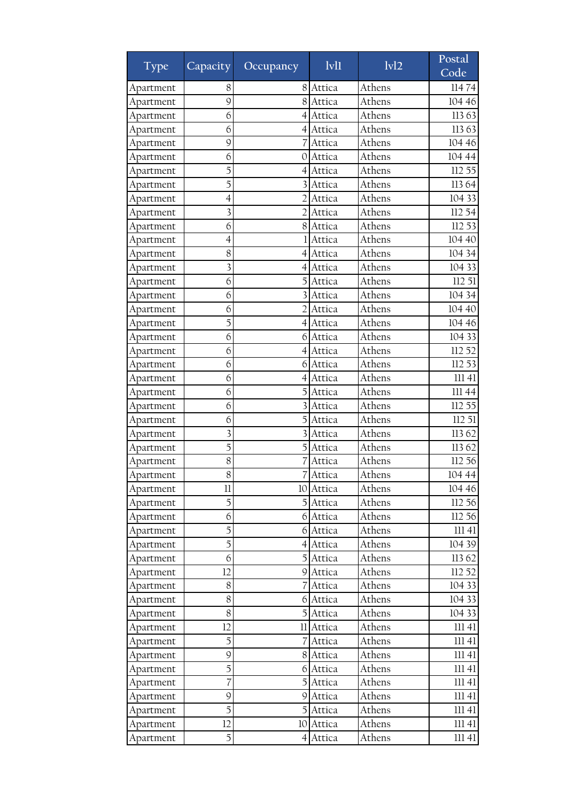| <b>Type</b> | Capacity <sup>1</sup>   | Occupancy        | $1$ v $1$ | 1v12   | Postal<br>Code |
|-------------|-------------------------|------------------|-----------|--------|----------------|
| Apartment   | 8                       | 8                | Attica    | Athens | 11474          |
| Apartment   | 9                       | 8                | Attica    | Athens | 104 46         |
| Apartment   | 6                       | 4                | Attica    | Athens | 11363          |
| Apartment   | 6                       | 4                | Attica    | Athens | 11363          |
| Apartment   | 9                       |                  | Attica    | Athens | 104 46         |
| Apartment   | 6                       | 0                | Attica    | Athens | 104 44         |
| Apartment   | 5                       | 4                | Attica    | Athens | 112 55         |
| Apartment   | 5                       |                  | Attica    | Athens | 11364          |
| Apartment   | 4                       |                  | Attica    | Athens | 104 33         |
| Apartment   | $\overline{\mathbf{3}}$ |                  | Attica    | Athens | 112 54         |
| Apartment   | 6                       | 8                | Attica    | Athens | 112 53         |
| Apartment   | $\overline{4}$          |                  | Attica    | Athens | 104 40         |
| Apartment   | 8                       | 4                | Attica    | Athens | 104 34         |
| Apartment   | 3                       |                  | Attica    | Athens | 104 33         |
| Apartment   | 6                       |                  | Attica    | Athens | 112 51         |
| Apartment   | 6                       |                  | Attica    | Athens | 104 34         |
| Apartment   | 6                       |                  | Attica    | Athens | 104 40         |
| Apartment   | 5                       | 4                | Attica    | Athens | 104 46         |
| Apartment   | 6                       | 6                | Attica    | Athens | 104 33         |
| Apartment   | 6                       | 4                | Attica    | Athens | 112 52         |
| Apartment   | 6                       | 6                | Attica    | Athens | 112 53         |
| Apartment   | 6                       | 4                | Attica    | Athens | 111 41         |
| Apartment   | 6                       |                  | Attica    | Athens | 111 44         |
| Apartment   | 6                       |                  | Attica    | Athens | 112 55         |
| Apartment   | 6                       | 5                | Attica    | Athens | 112 51         |
| Apartment   | $\overline{\mathbf{3}}$ | 3                | Attica    | Athens | 11362          |
| Apartment   | 5                       |                  | Attica    | Athens | 11362          |
| Apartment   | 8                       |                  | Attica    | Athens | 112 56         |
| Apartment   | 8                       | 7                | Attica    | Athens | 104 44         |
| Apartment   | 11                      |                  | 10 Attica | Athens | 104 46         |
| Apartment   | 5                       |                  | 5 Attica  | Athens | 112 56         |
| Apartment   | 6                       | 6                | Attica    | Athens | 112 56         |
| Apartment   | 5                       | 6                | Attica    | Athens | 11141          |
| Apartment   | 5                       | $\left 4\right $ | Attica    | Athens | 104 39         |
| Apartment   | 6                       | 51               | Attica    | Athens | 11362          |
| Apartment   | 12                      |                  | 9 Attica  | Athens | 112 52         |
| Apartment   | $8\,$                   |                  | Attica    | Athens | 104 33         |
| Apartment   | 8                       | 6                | Attica    | Athens | 104 33         |
| Apartment   | 8                       |                  | Attica    | Athens | 104 33         |
| Apartment   | 12                      | 11               | Attica    | Athens | 11141          |
| Apartment   | 5                       |                  | Attica    | Athens | $111\ 41$      |
| Apartment   | 9                       |                  | 8 Attica  | Athens | 11141          |
| Apartment   | 5                       | 6                | Attica    | Athens | 11141          |
| Apartment   | 7                       | 5                | Attica    | Athens | $111\ 41$      |
| Apartment   | 9                       | 9                | Attica    | Athens | $111\ 41$      |
| Apartment   | 5                       |                  | Attica    | Athens | 11141          |
| Apartment   | 12                      | 10               | Attica    | Athens | 11141          |
| Apartment   | 5                       |                  | 4 Attica  | Athens | 11141          |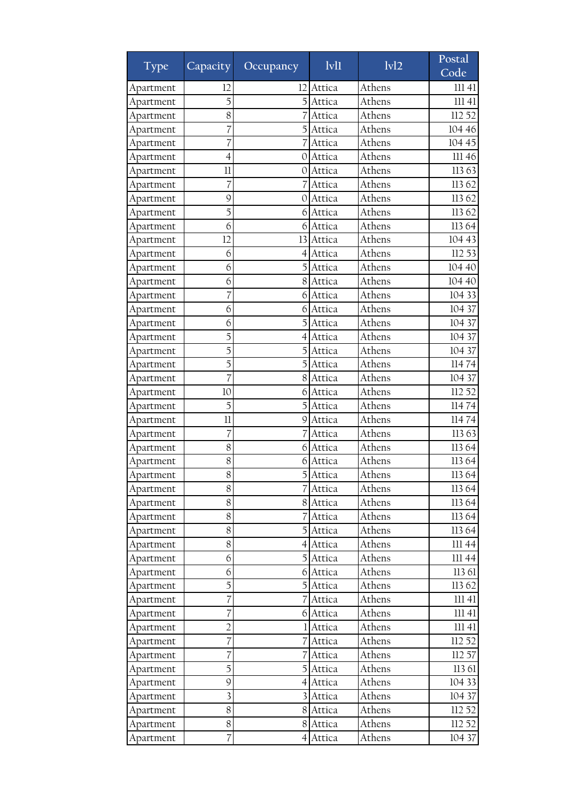| <b>Type</b> | Capacity                | Occupancy        | Ivl1     | 1v12   | Postal<br>Code |
|-------------|-------------------------|------------------|----------|--------|----------------|
| Apartment   | 12                      | 12               | Attica   | Athens | 11141          |
| Apartment   | 5                       |                  | Attica   | Athens | 11141          |
| Apartment   | 8                       |                  | Attica   | Athens | 112 52         |
| Apartment   | 7                       | $\mathcal{F}$    | Attica   | Athens | 104 46         |
| Apartment   | 7                       |                  | Attica   | Athens | 104 45         |
| Apartment   | 4                       | $\theta$         | Attica   | Athens | 111 46         |
| Apartment   | 11                      | 0                | Attica   | Athens | 11363          |
| Apartment   | 7                       |                  | Attica   | Athens | 11362          |
| Apartment   | 9                       | 0                | Attica   | Athens | 11362          |
| Apartment   | 5                       | 6                | Attica   | Athens | 11362          |
| Apartment   | 6                       |                  | 6 Attica | Athens | 11364          |
| Apartment   | 12                      | 13               | Attica   | Athens | 104 43         |
| Apartment   | 6                       | 4                | Attica   | Athens | 112 53         |
| Apartment   | 6                       | 5                | Attica   | Athens | 104 40         |
| Apartment   | 6                       | 8                | Attica   | Athens | 104 40         |
| Apartment   | 7                       | 6                | Attica   | Athens | 104 33         |
| Apartment   | 6                       | 6                | Attica   | Athens | 104 37         |
| Apartment   | 6                       |                  | Attica   | Athens | 104 37         |
| Apartment   | 5                       | 4                | Attica   | Athens | 104 37         |
| Apartment   | 5                       | 5                | Attica   | Athens | 104 37         |
| Apartment   | 5                       | 5                | Attica   | Athens | 11474          |
| Apartment   |                         | 8                | Attica   | Athens | 104 37         |
| Apartment   | 10                      | 61               | Attica   | Athens | 112 52         |
| Apartment   | 5                       | 5                | Attica   | Athens | 11474          |
| Apartment   | 11                      | 9                | Attica   | Athens | 11474          |
| Apartment   | 7                       | 7                | Attica   | Athens | 11363          |
| Apartment   | 8                       | 6                | Attica   | Athens | 113 64         |
| Apartment   | 8                       | 6                | Attica   | Athens | 113 64         |
| Apartment   | 8                       | 5                | Attica   | Athens | 113 64         |
| Apartment   | $8\,$                   |                  | 7 Attica | Athens | 113 64         |
| Apartment   | 8                       |                  | 8 Attica | Athens | 11364          |
| Apartment   | 8                       |                  | Attica   | Athens | 113 64         |
| Apartment   | 8                       | $\overline{5}$   | Attica   | Athens | 11364          |
| Apartment   | 8                       | $\left 4\right $ | Attica   | Athens | III 44         |
| Apartment   | 6                       | 5                | Attica   | Athens | 111 44         |
| Apartment   | 6                       |                  | 6 Attica | Athens | 113 61         |
| Apartment   | 5                       | $\mathbf{5}$     | Attica   | Athens | 113 62         |
| Apartment   | 7                       |                  | Attica   | Athens | 11141          |
| Apartment   | 7                       | 6                | Attica   | Athens | 11141          |
| Apartment   | $\overline{2}$          |                  | 1 Attica | Athens | 11141          |
| Apartment   | $\overline{7}$          |                  | Attica   | Athens | 112 52         |
| Apartment   | 7                       | 7                | Attica   | Athens | 112 57         |
| Apartment   | 5                       | 5                | Attica   | Athens | 113 61         |
| Apartment   | 9                       | $\left 4\right $ | Attica   | Athens | 104 33         |
| Apartment   | $\overline{\mathbf{3}}$ | $\overline{3}$   | Attica   | Athens | 104 37         |
| Apartment   | $8\,$                   | 8                | Attica   | Athens | 112 52         |
| Apartment   | $8\,$                   | 8                | Attica   | Athens | 112 52         |
| Apartment   | 7                       | 4                | Attica   | Athens | 104 37         |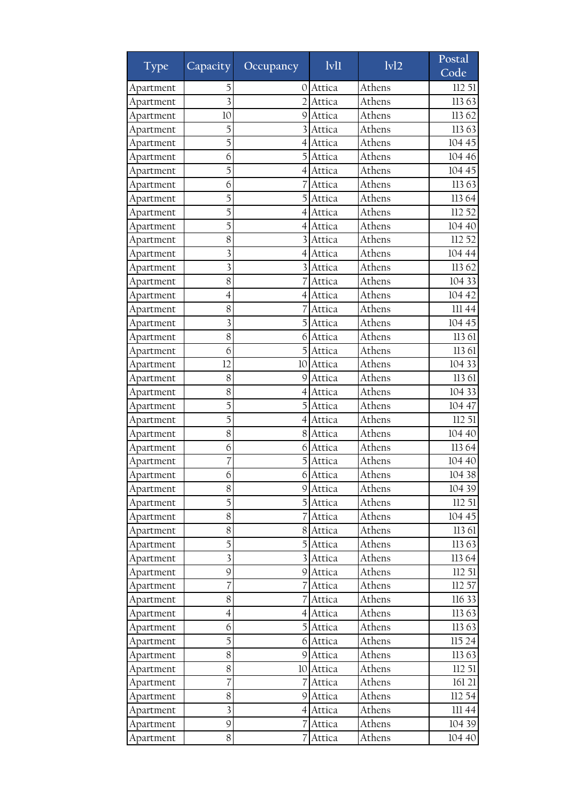| <b>Type</b> | Capacity <sup>1</sup>    | Occupancy        | $1$ v $11$ | $\overline{ivl2}$ | Postal<br>Code |
|-------------|--------------------------|------------------|------------|-------------------|----------------|
| Apartment   | 5                        | O                | Attica     | Athens            | 112 51         |
| Apartment   | $\overline{3}$           |                  | Attica     | Athens            | 11363          |
| Apartment   | 10                       | 9                | Attica     | Athens            | 11362          |
| Apartment   | 5                        |                  | Attica     | Athens            | 11363          |
| Apartment   | 5                        | 4                | Attica     | Athens            | 104 45         |
| Apartment   | 6                        | 5                | Attica     | Athens            | 104 46         |
| Apartment   | 5                        | $\left 4\right $ | Attica     | Athens            | 104 45         |
| Apartment   | 6                        |                  | Attica     | Athens            | 11363          |
| Apartment   | 5                        |                  | Attica     | Athens            | 11364          |
| Apartment   | 5                        | 4                | Attica     | Athens            | 112 52         |
| Apartment   | 5                        | 4                | Attica     | Athens            | 104 40         |
| Apartment   | 8                        |                  | Attica     | Athens            | 112 52         |
| Apartment   | 3                        | 4                | Attica     | Athens            | 104 44         |
| Apartment   | $\overline{\mathbf{3}}$  |                  | Attica     | Athens            | 113 62         |
| Apartment   | 8                        |                  | Attica     | Athens            | 104 33         |
| Apartment   | 4                        | 4                | Attica     | Athens            | 104 42         |
| Apartment   | 8                        |                  | Attica     | Athens            | 11144          |
| Apartment   | $\overline{\mathbf{3}}$  | 5                | Attica     | Athens            | 104 45         |
| Apartment   | 8                        | 6                | Attica     | Athens            | 113 61         |
| Apartment   | 6                        |                  | Attica     | Athens            | 113 61         |
| Apartment   | 12                       | 10               | Attica     | Athens            | 104 33         |
| Apartment   | 8                        | 9                | Attica     | Athens            | 113 61         |
| Apartment   | 8                        | 4                | Attica     | Athens            | 104 33         |
| Apartment   | 5                        | 5                | Attica     | Athens            | 104 47         |
| Apartment   | 5                        | 4                | Attica     | Athens            | 112 51         |
| Apartment   | 8                        | 8                | Attica     | Athens            | 104 40         |
| Apartment   | 6                        | 6                | Attica     | Athens            | 11364          |
| Apartment   | 7                        | 5                | Attica     | Athens            | 104 40         |
| Apartment   | 6                        | $6\vert$         | Attica     | Athens            | 104 38         |
| Apartment   | $8\,$                    |                  | 9 Attica   | Athens            | 104 39         |
| Apartment   | 5                        |                  | Attica     | Athens            | 112 51         |
| Apartment   | 8                        |                  | Attica     | Athens            | 104 45         |
| Apartment   | 8                        | 8                | Attica     | Athens            | 113 61         |
| Apartment   | 5                        | 5                | Attica     | Athens            | 11363          |
| Apartment   | 3                        | 31               | Attica     | Athens            | 113 64         |
| Apartment   | 9                        |                  | 9 Attica   | Athens            | 112 51         |
| Apartment   | 7                        |                  | Attica     | Athens            | 112 57         |
| Apartment   | 8                        |                  | Attica     | Athens            | 116 33         |
| Apartment   | $\overline{\mathcal{A}}$ | 4                | Attica     | Athens            | 11363          |
| Apartment   | 6                        | 51               | Attica     | Athens            | 11363          |
| Apartment   | 5                        | 61               | Attica     | Athens            | 115 24         |
| Apartment   | $8\,$                    | 9                | Attica     | Athens            | 11363          |
| Apartment   | 8                        |                  | 10 Attica  | Athens            | 112 51         |
| Apartment   | 7                        |                  | Attica     | Athens            | 161 21         |
| Apartment   | 8                        | 9                | Attica     | Athens            | 112 54         |
| Apartment   | $\overline{\mathbf{3}}$  | 41               | Attica     | Athens            | III 44         |
| Apartment   | 9                        |                  | Attica     | Athens            | 104 39         |
| Apartment   | 8                        |                  | Attica     | Athens            | 104 40         |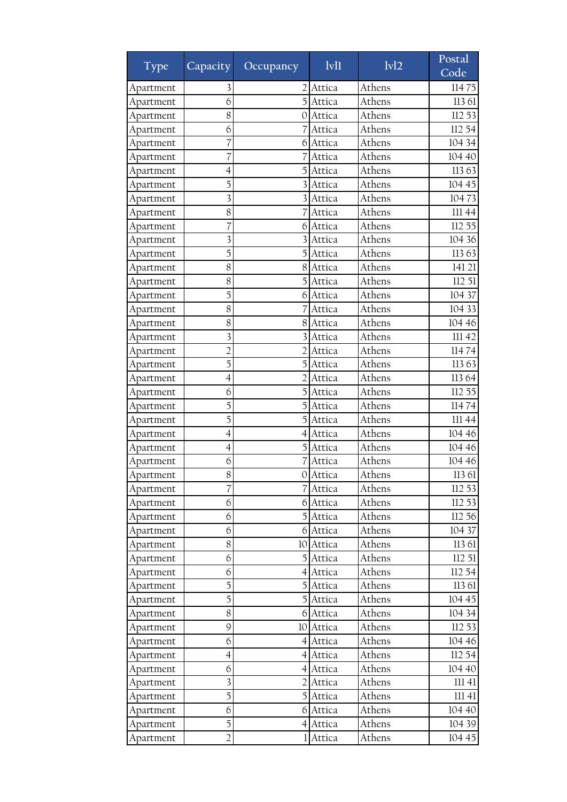| <b>Type</b> | Capacity                 | Occupancy      | 1v11     | 1v12   | Postal<br>Code |
|-------------|--------------------------|----------------|----------|--------|----------------|
| Apartment   | 3                        |                | Attica   | Athens | 11475          |
| Apartment   | 6                        |                | Attica   | Athens | 113 61         |
| Apartment   | 8                        | 0              | Attica   | Athens | 112 53         |
| Apartment   | 6                        |                | Attica   | Athens | 112 54         |
| Apartment   | 7                        | 6              | Attica   | Athens | 104 34         |
| Apartment   | 7                        |                | Attica   | Athens | 104 40         |
| Apartment   | 4                        | 5              | Attica   | Athens | 11363          |
| Apartment   | 5                        |                | Attica   | Athens | 104 45         |
| Apartment   | 3                        |                | Attica   | Athens | 10473          |
| Apartment   | 8                        |                | Attica   | Athens | III 44         |
| Apartment   | 7                        | 6              | Attica   | Athens | 112 55         |
| Apartment   | $\overline{\mathbf{3}}$  | 3              | Attica   | Athens | 104 36         |
| Apartment   | 5                        | 5              | Attica   | Athens | 11363          |
| Apartment   | 8                        | 8              | Attica   | Athens | 141 21         |
| Apartment   | 8                        |                | Attica   | Athens | 112 51         |
| Apartment   | 5                        | 6              | Attica   | Athens | 104 37         |
| Apartment   | 8                        |                | Attica   | Athens | 104 33         |
| Apartment   | 8                        | 8              | Attica   | Athens | 104 46         |
| Apartment   | $\overline{\mathbf{3}}$  |                | Attica   | Athens | III 42         |
| Apartment   | $\overline{2}$           | $\overline{2}$ | Attica   | Athens | 11474          |
| Apartment   | 5                        |                | Attica   | Athens | 11363          |
| Apartment   | $\overline{4}$           |                | Attica   | Athens | 113 64         |
| Apartment   | 6                        |                | Attica   | Athens | 112 55         |
| Apartment   | 5                        | 5              | Attica   | Athens | 11474          |
| Apartment   | 5                        | 5              | Attica   | Athens | 111 44         |
| Apartment   | 4                        | 4              | Attica   | Athens | 104 46         |
| Apartment   | $\overline{\mathcal{A}}$ |                | Attica   | Athens | 104 46         |
| Apartment   | 6                        |                | Attica   | Athens | 104 46         |
| Apartment   | 8                        | $\Omega$       | Attica   | Athens | 113 61         |
| Apartment   | 7                        |                | 7 Attica | Athens | 112 53         |
| Apartment   | 6                        |                | 6 Attica | Athens | 112 53         |
| Apartment   | 6                        | 5              | Attica   | Athens | 112 56         |
| Apartment   | 6                        | $6 \mid$       | Attica   | Athens | 104 37         |
| Apartment   | 8                        | 10             | Attica   | Athens | 113 61         |
| Apartment   | 6                        |                | 5 Attica | Athens | 11251          |
| Apartment   | 6                        |                | 4 Attica | Athens | 112 54         |
| Apartment   | 5                        |                | Attica   | Athens | 113 61         |
| Apartment   | 5                        | $\mathbf{5}$   | Attica   | Athens | 104 45         |
| Apartment   | 8                        | 6              | Attica   | Athens | 104 34         |
| Apartment   | 9                        | 10             | Attica   | Athens | 112 53         |
| Apartment   | 6                        | 41             | Attica   | Athens | 104 46         |
| Apartment   | $\overline{4}$           |                | 4 Attica | Athens | 112 54         |
| Apartment   | 6                        | $\overline{4}$ | Attica   | Athens | 104 40         |
| Apartment   | 3                        | 21             | Attica   | Athens | 11141          |
| Apartment   | 5                        | $\overline{5}$ | Attica   | Athens | 11141          |
| Apartment   | 6                        | 6              | Attica   | Athens | 104 40         |
| Apartment   | 5                        | 41             | Attica   | Athens | 104 39         |
| Apartment   | $\overline{2}$           |                | Attica   | Athens | 104 45         |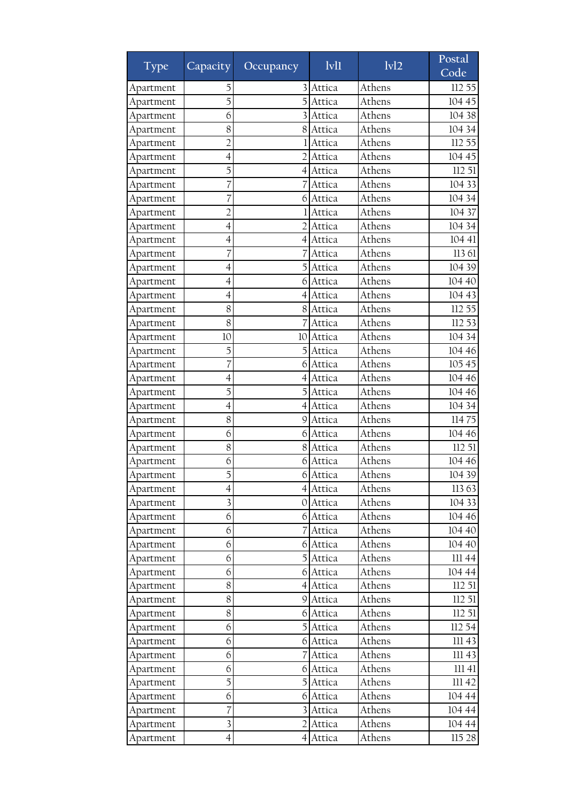| <b>Type</b> | Capacity                 | Occupancy        | 1v11     | 1v12   | Postal<br>Code |
|-------------|--------------------------|------------------|----------|--------|----------------|
| Apartment   | 5                        |                  | Attica   | Athens | 112 55         |
| Apartment   | 5                        |                  | Attica   | Athens | 104 45         |
| Apartment   | 6                        |                  | Attica   | Athens | 104 38         |
| Apartment   | 8                        | 8                | Attica   | Athens | 104 34         |
| Apartment   | $\overline{2}$           |                  | Attica   | Athens | 112 55         |
| Apartment   | $\overline{4}$           | $\overline{2}$   | Attica   | Athens | 104 45         |
| Apartment   | 5                        | 4                | Attica   | Athens | 112 51         |
| Apartment   | 7                        |                  | Attica   | Athens | 104 33         |
| Apartment   |                          | 6                | Attica   | Athens | 104 34         |
| Apartment   | $\overline{2}$           |                  | Attica   | Athens | 104 37         |
| Apartment   | $\overline{4}$           |                  | Attica   | Athens | 104 34         |
| Apartment   | $\overline{4}$           | 4                | Attica   | Athens | 104 41         |
| Apartment   | 7                        |                  | Attica   | Athens | 113 61         |
| Apartment   | 4                        | 5                | Attica   | Athens | 104 39         |
| Apartment   | $\overline{4}$           | 6                | Attica   | Athens | 104 40         |
| Apartment   | 4                        | 4                | Attica   | Athens | 104 43         |
| Apartment   | 8                        | 8                | Attica   | Athens | 112 55         |
| Apartment   | 8                        |                  | Attica   | Athens | 112 53         |
| Apartment   | 10                       | 10               | Attica   | Athens | 104 34         |
| Apartment   | 5                        | 5                | Attica   | Athens | 104 46         |
| Apartment   | 7                        | 6                | Attica   | Athens | 105 45         |
| Apartment   | 4                        | 4                | Attica   | Athens | 104 46         |
| Apartment   | 5                        |                  | Attica   | Athens | 104 46         |
| Apartment   | $\overline{4}$           | 4                | Attica   | Athens | 104 34         |
| Apartment   | 8                        | 9                | Attica   | Athens | 11475          |
| Apartment   | 6                        | 6                | Attica   | Athens | 104 46         |
| Apartment   | 8                        | 8                | Attica   | Athens | 112 51         |
| Apartment   | 6                        | 6                | Attica   | Athens | 104 46         |
| Apartment   | 5                        | 6                | Attica   | Athens | 104 39         |
| Apartment   | $\overline{\mathcal{A}}$ |                  | 4 Attica | Athens | 11363          |
| Apartment   | $\overline{\mathbf{3}}$  |                  | 0 Attica | Athens | 104 33         |
| Apartment   | 6                        |                  | 6 Attica | Athens | 104 46         |
| Apartment   | 6                        |                  | Attica   | Athens | 104 40         |
| Apartment   | 6                        | 6                | Attica   | Athens | 104 40         |
| Apartment   | 6                        | 5 <sub>l</sub>   | Attica   | Athens | III 44         |
| Apartment   | 6                        |                  | 6 Attica | Athens | 104 44         |
| Apartment   | 8                        | $\left 4\right $ | Attica   | Athens | 112 51         |
| Apartment   | 8                        |                  | 9 Attica | Athens | 112 51         |
| Apartment   | 8                        | 6                | Attica   | Athens | 11251          |
| Apartment   | 6                        |                  | Attica   | Athens | 112 54         |
| Apartment   | 6                        | 61               | Attica   | Athens | 11143          |
| Apartment   | 6                        |                  | Attica   | Athens | III 43         |
| Apartment   | 6                        | 6                | Attica   | Athens | 11141          |
| Apartment   | 5                        | 5                | Attica   | Athens | 11142          |
| Apartment   | 6                        | 6                | Attica   | Athens | 104 44         |
| Apartment   | 7                        |                  | Attica   | Athens | 104 44         |
| Apartment   | $\overline{\mathbf{3}}$  | 2                | Attica   | Athens | 104 44         |
| Apartment   | $\overline{4}$           | 41               | Attica   | Athens | 115 28         |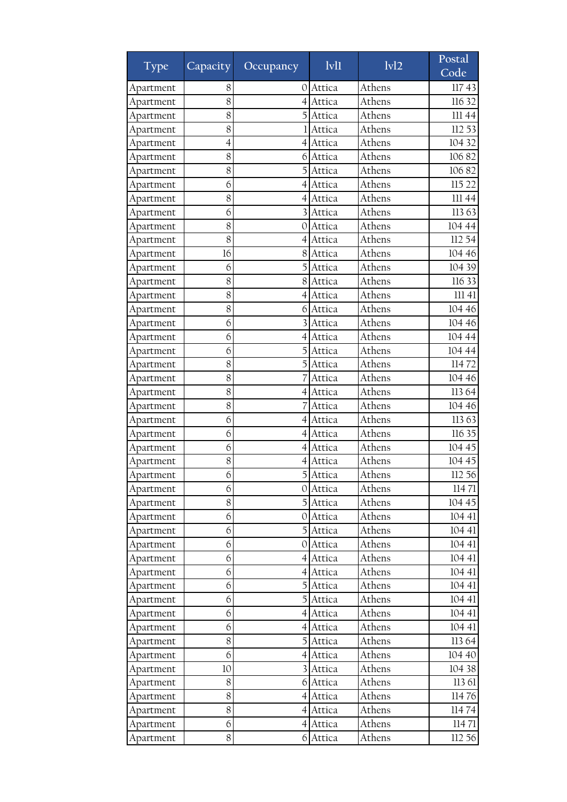| <b>Type</b> | Capacity                 | Occupancy        | 1v11     | 1v12   | Postal<br>Code |
|-------------|--------------------------|------------------|----------|--------|----------------|
| Apartment   | 8                        | 0                | Attica   | Athens | 11743          |
| Apartment   | 8                        |                  | Attica   | Athens | 116 32         |
| Apartment   | 8                        |                  | Attica   | Athens | 111 44         |
| Apartment   | 8                        |                  | Attica   | Athens | 112 53         |
| Apartment   | $\overline{\mathcal{A}}$ | 4                | Attica   | Athens | 104 32         |
| Apartment   | 8                        | 6                | Attica   | Athens | 10682          |
| Apartment   | 8                        | 5                | Attica   | Athens | 10682          |
| Apartment   | 6                        | 4                | Attica   | Athens | 115 22         |
| Apartment   | 8                        | 4                | Attica   | Athens | 111 44         |
| Apartment   | 6                        | 3                | Attica   | Athens | 11363          |
| Apartment   | 8                        | 0                | Attica   | Athens | 104 44         |
| Apartment   | 8                        | 4                | Attica   | Athens | 112 54         |
| Apartment   | 16                       | 8                | Attica   | Athens | 104 46         |
| Apartment   | 6                        | 5                | Attica   | Athens | 104 39         |
| Apartment   | 8                        | 8                | Attica   | Athens | 116 33         |
| Apartment   | 8                        | 4                | Attica   | Athens | 11141          |
| Apartment   | 8                        | 6                | Attica   | Athens | 104 46         |
| Apartment   | 6                        |                  | Attica   | Athens | 104 46         |
| Apartment   | 6                        | 4                | Attica   | Athens | 104 44         |
| Apartment   | 6                        | 5                | Attica   | Athens | 104 44         |
| Apartment   | 8                        |                  | Attica   | Athens | 11472          |
| Apartment   | 8                        |                  | Attica   | Athens | 104 46         |
| Apartment   | 8                        | 41               | Attica   | Athens | 113 64         |
| Apartment   | 8                        |                  | Attica   | Athens | 104 46         |
| Apartment   | 6                        | 4                | Attica   | Athens | 11363          |
| Apartment   | 6                        | 4                | Attica   | Athens | 116 35         |
| Apartment   | 6                        | 4                | Attica   | Athens | 104 45         |
| Apartment   | 8                        | 4                | Attica   | Athens | 104 45         |
| Apartment   | 6                        | 5                | Attica   | Athens | 112 56         |
| Apartment   | 6                        |                  | 0 Attica | Athens | 11471          |
| Apartment   | 8                        |                  | 5 Attica | Athens | 104 45         |
| Apartment   | 6                        | O I              | Attica   | Athens | 104 41         |
| Apartment   | 6                        | $\overline{5}$   | Attica   | Athens | 104 41         |
| Apartment   | 6                        | 0                | Attica   | Athens | 104 41         |
| Apartment   | 6                        | 41               | Attica   | Athens | 104 41         |
| Apartment   | 6                        |                  | 4 Attica | Athens | 104 41         |
| Apartment   | 6                        |                  | Attica   | Athens | 104 41         |
| Apartment   | 6                        | 5                | Attica   | Athens | 104 41         |
| Apartment   | 6                        | 4                | Attica   | Athens | 104 41         |
| Apartment   | 6                        |                  | 4 Attica | Athens | 104 41         |
| Apartment   | 8                        | $\overline{5}$   | Attica   | Athens | 113 64         |
| Apartment   | 6                        | 4                | Attica   | Athens | 104 40         |
| Apartment   | 10                       | $\overline{3}$   | Attica   | Athens | 104 38         |
| Apartment   | 8                        | 6                | Attica   | Athens | 113 61         |
| Apartment   | 8                        | $\left 4\right $ | Attica   | Athens | 11476          |
| Apartment   | 8                        | 4                | Attica   | Athens | 11474          |
| Apartment   | 6                        | 4                | Attica   | Athens | 11471          |
| Apartment   | 8                        | 6                | Attica   | Athens | 112 56         |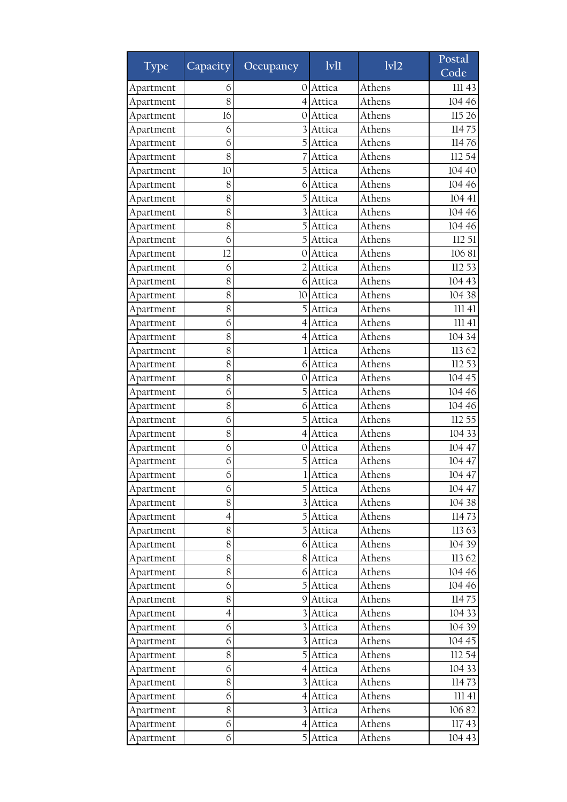| Type      | Capacity       | Occupancy        | 1v11     | 1v12   | Postal<br>Code |
|-----------|----------------|------------------|----------|--------|----------------|
| Apartment | 6              | $\circ$          | Attica   | Athens | 111 43         |
| Apartment | 8              |                  | Attica   | Athens | 104 46         |
| Apartment | 16             | 0                | Attica   | Athens | 115 26         |
| Apartment | 6              |                  | Attica   | Athens | 11475          |
| Apartment | 6              | 5                | Attica   | Athens | 11476          |
| Apartment | 8              |                  | Attica   | Athens | 112 54         |
| Apartment | 10             | 5                | Attica   | Athens | 104 40         |
| Apartment | 8              | 6                | Attica   | Athens | 104 46         |
| Apartment | 8              |                  | Attica   | Athens | 104 41         |
| Apartment | 8              | 3                | Attica   | Athens | 104 46         |
| Apartment | 8              |                  | Attica   | Athens | 104 46         |
| Apartment | 6              | 5                | Attica   | Athens | 112 51         |
| Apartment | 12             | 0                | Attica   | Athens | 10681          |
| Apartment | 6              | $\overline{2}$   | Attica   | Athens | 112 53         |
| Apartment | 8              | 6                | Attica   | Athens | 104 43         |
| Apartment | 8              | 10               | Attica   | Athens | 104 38         |
| Apartment | 8              |                  | Attica   | Athens | 11141          |
| Apartment | 6              | 4                | Attica   | Athens | 11141          |
| Apartment | 8              | 4                | Attica   | Athens | 104 34         |
| Apartment | 8              |                  | Attica   | Athens | 113 62         |
| Apartment | 8              | 6                | Attica   | Athens | 112 53         |
| Apartment | 8              | 0                | Attica   | Athens | 104 45         |
| Apartment | 6              | 5                | Attica   | Athens | 104 46         |
| Apartment | 8              | 6                | Attica   | Athens | 104 46         |
| Apartment | 6              | 5                | Attica   | Athens | 112 55         |
| Apartment | 8              | 4                | Attica   | Athens | 104 33         |
| Apartment | 6              | 0                | Attica   | Athens | 104 47         |
| Apartment | 6              |                  | Attica   | Athens | 104 47         |
| Apartment | 6              | 1                | Attica   | Athens | 104 47         |
| Apartment | 6              |                  | 5 Attica | Athens | 104 47         |
| Apartment | 8              |                  | 3 Attica | Athens | 104 38         |
| Apartment | 4              | 5                | Attica   | Athens | 11473          |
| Apartment | 8              | $\overline{5}$   | Attica   | Athens | 11363          |
| Apartment | 8              | 6                | Attica   | Athens | 104 39         |
| Apartment | 8              | 81               | Attica   | Athens | 113 62         |
| Apartment | 8              |                  | 6 Attica | Athens | 104 46         |
| Apartment | 6              |                  | Attica   | Athens | 104 46         |
| Apartment | 8              | 91               | Attica   | Athens | 11475          |
| Apartment | $\overline{4}$ |                  | Attica   | Athens | 104 33         |
| Apartment | 6              |                  | Attica   | Athens | 104 39         |
| Apartment | 6              |                  | Attica   | Athens | 104 45         |
| Apartment | 8              | 5                | Attica   | Athens | 112 54         |
| Apartment | 6              | $\left 4\right $ | Attica   | Athens | 104 33         |
| Apartment | 8              |                  | Attica   | Athens | 11473          |
| Apartment | 6              | $\left 4\right $ | Attica   | Athens | 11141          |
| Apartment | 8              |                  | Attica   | Athens | 10682          |
| Apartment | 6              | 41               | Attica   | Athens | 11743          |
| Apartment | 6              | $\mathbf{5}$     | Attica   | Athens | 104 43         |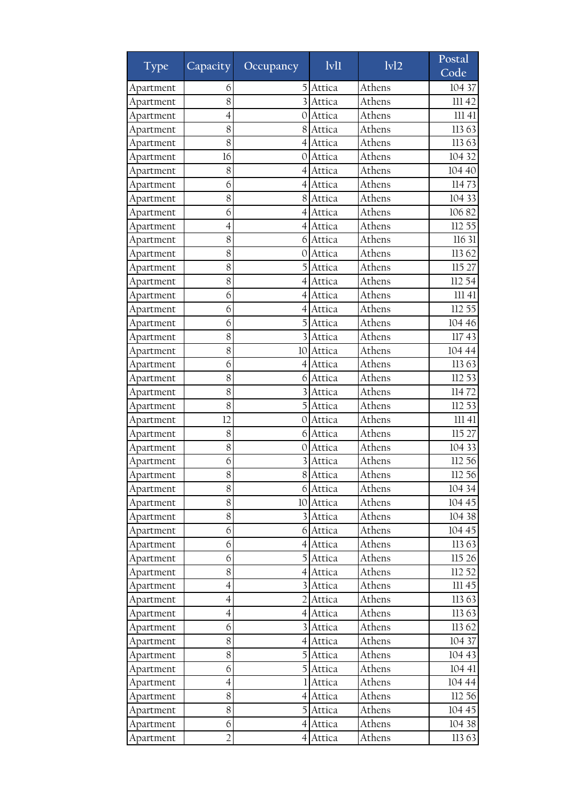| Type      | Capacity                 | Occupancy        | 1v11      | 1v12   | Postal<br>Code |
|-----------|--------------------------|------------------|-----------|--------|----------------|
| Apartment | 6                        | 5                | Attica    | Athens | 104 37         |
| Apartment | 8                        |                  | Attica    | Athens | 11142          |
| Apartment | 4                        | 0                | Attica    | Athens | 11141          |
| Apartment | 8                        | 8                | Attica    | Athens | 11363          |
| Apartment | 8                        | 4                | Attica    | Athens | 11363          |
| Apartment | 16                       | 0                | Attica    | Athens | 104 32         |
| Apartment | 8                        | 4                | Attica    | Athens | 104 40         |
| Apartment | 6                        | 4                | Attica    | Athens | 11473          |
| Apartment | 8                        | 8                | Attica    | Athens | 104 33         |
| Apartment | 6                        | 4                | Attica    | Athens | 10682          |
| Apartment | $\overline{4}$           | $\left 4\right $ | Attica    | Athens | 112 55         |
| Apartment | 8                        | 6                | Attica    | Athens | 116 31         |
| Apartment | 8                        | 0                | Attica    | Athens | 11362          |
| Apartment | 8                        | 5                | Attica    | Athens | 115 27         |
| Apartment | 8                        | 4                | Attica    | Athens | 112 54         |
| Apartment | 6                        | 4                | Attica    | Athens | 11141          |
| Apartment | 6                        | 4                | Attica    | Athens | 112 55         |
| Apartment | 6                        |                  | Attica    | Athens | 104 46         |
| Apartment | 8                        |                  | Attica    | Athens | 11743          |
| Apartment | 8                        | 10               | Attica    | Athens | 104 44         |
| Apartment | 6                        | $\left 4\right $ | Attica    | Athens | 11363          |
| Apartment | 8                        | 6                | Attica    | Athens | 112 53         |
| Apartment | 8                        |                  | Attica    | Athens | 11472          |
| Apartment | 8                        | 5                | Attica    | Athens | 112 53         |
| Apartment | 12                       | 0                | Attica    | Athens | 11141          |
| Apartment | 8                        | 6                | Attica    | Athens | 115 27         |
| Apartment | 8                        | 0                | Attica    | Athens | 104 33         |
| Apartment | 6                        |                  | Attica    | Athens | 112 56         |
| Apartment | 8                        | 8                | Attica    | Athens | 112 56         |
| Apartment | 8                        |                  | 6 Attica  | Athens | 104 34         |
| Apartment | 8                        |                  | 10 Attica | Athens | 104 45         |
| Apartment | 8                        | 31               | Attica    | Athens | 104 38         |
| Apartment | 6                        | $6 \mid$         | Attica    | Athens | 104 45         |
| Apartment | 6                        | 4                | Attica    | Athens | 11363          |
| Apartment | 6                        | $\mathbf{5}$     | Attica    | Athens | 115 26         |
| Apartment | 8                        | 41               | Attica    | Athens | 112 52         |
| Apartment | $\overline{\mathcal{A}}$ |                  | Attica    | Athens | 11145          |
| Apartment | $\overline{4}$           | $\overline{2}$   | Attica    | Athens | 11363          |
| Apartment | $\overline{4}$           | 4                | Attica    | Athens | 11363          |
| Apartment | 6                        |                  | Attica    | Athens | 11362          |
| Apartment | 8                        | 41               | Attica    | Athens | 104 37         |
| Apartment | 8                        | 5                | Attica    | Athens | 104 43         |
| Apartment | 6                        | $\overline{5}$   | Attica    | Athens | 104 41         |
| Apartment | 4                        |                  | Attica    | Athens | 104 44         |
| Apartment | 8                        |                  | 4 Attica  | Athens | 112 56         |
| Apartment | 8                        | 5                | Attica    | Athens | 104 45         |
| Apartment | 6                        | 4                | Attica    | Athens | 104 38         |
| Apartment | $\overline{2}$           | 41               | Attica    | Athens | 11363          |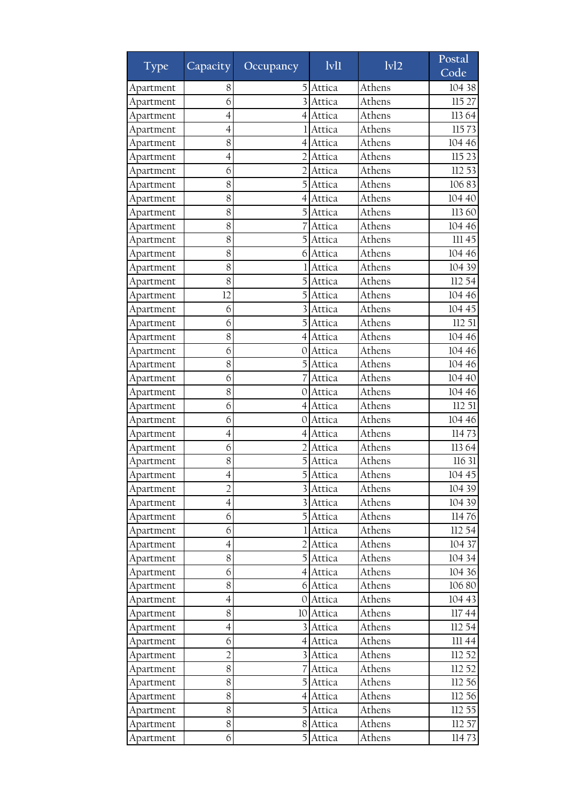| Type                   | Capacity                      | Occupancy            | 1v11             | 1v12             | Postal<br>Code   |
|------------------------|-------------------------------|----------------------|------------------|------------------|------------------|
| Apartment              | 8                             | 5                    | Attica           | Athens           | 104 38           |
| Apartment              | 6                             |                      | Attica           | Athens           | 115 27           |
| Apartment              | 4                             | 4                    | Attica           | Athens           | 11364            |
| Apartment              | 4                             |                      | Attica           | Athens           | 11573            |
| Apartment              | 8                             | 4                    | Attica           | Athens           | 104 46           |
| Apartment              | 4                             | 2                    | Attica           | Athens           | 115 23           |
| Apartment              | 6                             | $\overline{2}$       | Attica           | Athens           | 112 53           |
| Apartment              | 8                             |                      | Attica           | Athens           | 10683            |
| Apartment              | 8                             | 4                    | Attica           | Athens           | 104 40           |
| Apartment              | 8                             | 5                    | Attica           | Athens           | 11360            |
| Apartment              | 8                             |                      | Attica           | Athens           | 104 46           |
| Apartment              | 8                             | 5                    | Attica           | Athens           | III 45           |
| Apartment              | 8                             | 6                    | Attica           | Athens           | 104 46           |
| Apartment              | 8                             |                      | Attica           | Athens           | 104 39           |
| Apartment              | 8                             |                      | Attica           | Athens           | 112 54           |
| Apartment              | 12                            |                      | Attica           | Athens           | 104 46           |
| Apartment              | 6                             |                      | Attica           | Athens           | 104 45           |
| Apartment              | 6                             |                      | Attica           | Athens           | 112 51           |
| Apartment              | 8                             | 4                    | Attica           | Athens           | 104 46           |
| Apartment              | 6                             | 0                    | Attica           | Athens           | 104 46           |
| Apartment              | 8                             |                      | Attica           | Athens           | 104 46           |
| Apartment              | 6                             |                      | Attica           | Athens           | 104 40           |
| Apartment              | 8                             | O                    | Attica           | Athens           | 104 46           |
| Apartment              | 6                             | 4                    | Attica           | Athens           | 112 51           |
|                        | 6                             | 0                    | Attica           | Athens           | 104 46           |
| Apartment              | 4                             | 4                    | Attica           | Athens           | 11473            |
| Apartment              | 6                             |                      | Attica           | Athens           | 113 64           |
| Apartment<br>Apartment | 8                             |                      | Attica           | Athens           | 116 31           |
| Apartment              | 4                             | 5                    | Attica           | Athens           | 104 45           |
|                        | $\overline{2}$                |                      |                  | Athens           |                  |
| Apartment<br>Apartment | $\overline{4}$                |                      | 3 Attica         | Athens           | 104 39<br>104 39 |
|                        |                               | $\overline{5}$       | 3 Attica         | Athens           |                  |
| Apartment              | 6<br>6                        |                      | Attica           | Athens           | 11476<br>112 54  |
| Apartment              |                               |                      | Attica           | Athens           |                  |
| Apartment              | $\overline{\mathcal{A}}$<br>8 | $\mathbf{5}$         | Attica           | Athens           | 104 37<br>104 34 |
| Apartment              | 6                             |                      | Attica           | Athens           | 104 36           |
| Apartment              |                               | 41                   | Attica           | Athens           |                  |
| Apartment              | 8                             |                      | 6 Attica         | Athens           | 106 80<br>104 43 |
| Apartment              | $\overline{4}$<br>8           | $\overline{O}$       | Attica           | Athens           |                  |
| Apartment              | $\overline{4}$                | 10                   | Attica           | Athens           | 11744<br>112 54  |
| Apartment              | 6                             |                      | Attica           |                  |                  |
| Apartment              | $\overline{c}$                | 41<br>$\overline{3}$ | Attica           | Athens<br>Athens | III 44           |
| Apartment              | 8                             |                      | Attica<br>Attica |                  | 112 52           |
| Apartment              |                               |                      |                  | Athens           | 112 52           |
| Apartment              | 8                             | 5                    | Attica           | Athens           | 112 56           |
| Apartment              | 8                             | $\left 4\right $     | Attica           | Athens           | 112 56           |
| Apartment              | 8                             | 5                    | Attica           | Athens           | 112 55           |
| Apartment              | 8                             | 8                    | Attica           | Athens           | 112 57           |
| Apartment              | 6                             | 5                    | Attica           | Athens           | 11473            |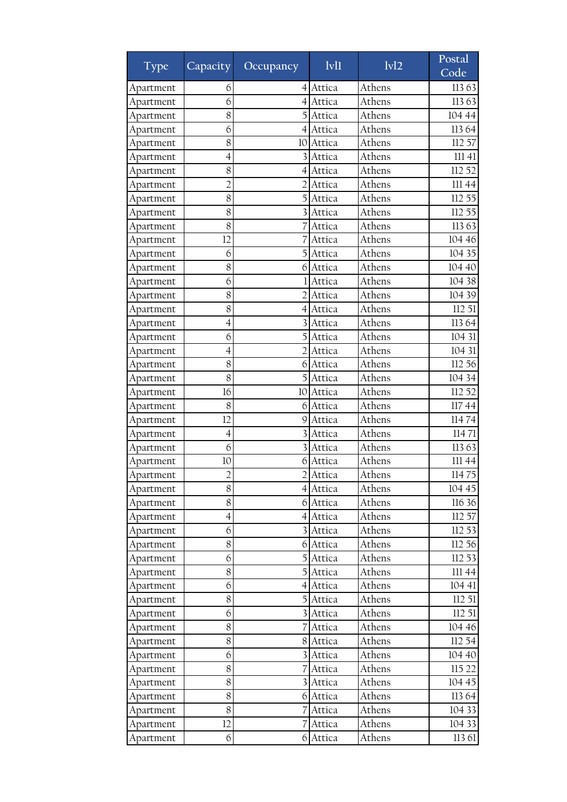| Type      | Capacity       | Occupancy      | 1v11     | 1v12   | Postal<br>Code |
|-----------|----------------|----------------|----------|--------|----------------|
| Apartment | 6              | 4              | Attica   | Athens | 11363          |
| Apartment | 6              |                | Attica   | Athens | 11363          |
| Apartment | 8              |                | Attica   | Athens | 104 44         |
| Apartment | 6              | 41             | Attica   | Athens | 113 64         |
| Apartment | 8              | 10             | Attica   | Athens | 112 57         |
| Apartment | 4              |                | Attica   | Athens | 11141          |
| Apartment | 8              | 4              | Attica   | Athens | 112 52         |
| Apartment | $\overline{2}$ |                | Attica   | Athens | III 44         |
| Apartment | 8              |                | Attica   | Athens | 112 55         |
| Apartment | 8              | 3              | Attica   | Athens | 112 55         |
| Apartment | 8              |                | Attica   | Athens | 11363          |
| Apartment | 12             |                | Attica   | Athens | 104 46         |
| Apartment | 6              | 5              | Attica   | Athens | 104 35         |
| Apartment | 8              | 6              | Attica   | Athens | 104 40         |
| Apartment | 6              |                | Attica   | Athens | 104 38         |
| Apartment | 8              |                | Attica   | Athens | 104 39         |
| Apartment | 8              | 4              | Attica   | Athens | 112 51         |
| Apartment | 4              |                | Attica   | Athens | 11364          |
| Apartment | 6              | 5              | Attica   | Athens | 104 31         |
| Apartment | $\overline{4}$ | $\overline{2}$ | Attica   | Athens | 104 31         |
| Apartment | 8              | 6              | Attica   | Athens | 112 56         |
| Apartment | 8              | 5              | Attica   | Athens | 104 34         |
| Apartment | 16             | 10             | Attica   | Athens | 112 52         |
| Apartment | 8              | 6              | Attica   | Athens | 11744          |
| Apartment | 12             | 9              | Attica   | Athens | 11474          |
| Apartment | 4              |                | Attica   | Athens | 11471          |
| Apartment | 6              |                | Attica   | Athens | 11363          |
| Apartment | 10             | 6              | Attica   | Athens | III 44         |
| Apartment | $\overline{2}$ | $\overline{2}$ | Attica   | Athens | 11475          |
| Apartment | 8              |                | 4 Attica | Athens | 104 45         |
| Apartment | 8              |                | 6 Attica | Athens | 116 36         |
| Apartment | 4              | 4              | Attica   | Athens | 112 57         |
| Apartment | 6              | $\overline{3}$ | Attica   | Athens | 112 53         |
| Apartment | 8              | 6              | Attica   | Athens | 112 56         |
| Apartment | 6              | $\mathbf{5}$   | Attica   | Athens | 112 53         |
| Apartment | 8              | $\mathbf{5}$   | Attica   | Athens | III 44         |
| Apartment | 6              | 4              | Attica   | Athens | 104 41         |
| Apartment | 8              | $\mathbf{5}$   | Attica   | Athens | 112 51         |
| Apartment | 6              |                | Attica   | Athens | 11251          |
| Apartment | 8              |                | Attica   | Athens | 104 46         |
| Apartment | 8              | 8              | Attica   | Athens | 112 54         |
| Apartment | 6              | $\overline{3}$ | Attica   | Athens | 104 40         |
| Apartment | 8              |                | Attica   | Athens | 115 22         |
| Apartment | 8              | $\overline{3}$ | Attica   | Athens | 104 45         |
| Apartment | 8              | $6 \mid$       | Attica   | Athens | 113 64         |
| Apartment | 8              |                | Attica   | Athens | 104 33         |
| Apartment | 12             |                | Attica   | Athens | 104 33         |
| Apartment | 6              | 6              | Attica   | Athens | 113 61         |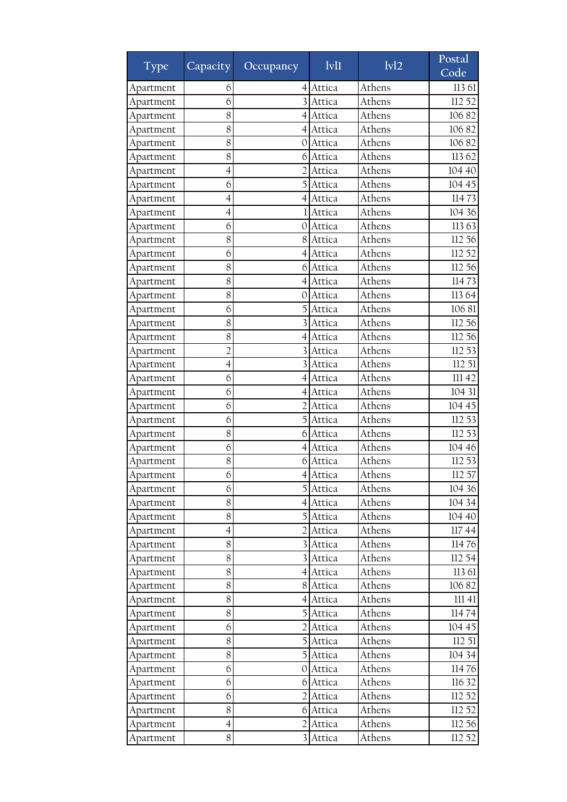| Type      | Capacity <sup>1</sup>    | Occupancy               | $1$ v $1$ | 1v12             | Postal<br>Code  |
|-----------|--------------------------|-------------------------|-----------|------------------|-----------------|
| Apartment | 6                        | 4                       | Attica    | Athens           | 113 61          |
| Apartment | 6                        |                         | Attica    | Athens           | 112 52          |
| Apartment | 8                        | 4                       | Attica    | Athens           | 10682           |
| Apartment | 8                        | 41                      | Attica    | Athens           | 10682           |
| Apartment | 8                        | 0                       | Attica    | Athens           | 10682           |
| Apartment | 8                        | 6                       | Attica    | Athens           | 11362           |
| Apartment | $\overline{4}$           | $\overline{2}$          | Attica    | Athens           | 104 40          |
| Apartment | 6                        |                         | Attica    | Athens           | 104 45          |
| Apartment | 4                        | 4                       | Attica    | Athens           | 11473           |
| Apartment | $\overline{\mathcal{A}}$ |                         | Attica    | Athens           | 104 36          |
| Apartment | 6                        | 0                       | Attica    | Athens           | 11363           |
| Apartment | 8                        | 8                       | Attica    | Athens           | 112 56          |
| Apartment | 6                        | 4                       | Attica    | Athens           | 112 52          |
| Apartment | 8                        | 6                       | Attica    | Athens           | 112 56          |
| Apartment | 8                        | 4                       | Attica    | Athens           | 11473           |
| Apartment | 8                        | 0                       | Attica    | Athens           | 11364           |
| Apartment | 6                        |                         | Attica    | Athens           | 10681           |
| Apartment | 8                        |                         | Attica    | Athens           | 112 56          |
| Apartment | 8                        | 4                       | Attica    | Athens           | 112 56          |
| Apartment | $\overline{2}$           |                         | Attica    | Athens           | 112 53          |
| Apartment | $\overline{4}$           |                         | Attica    | Athens           | 112 51          |
| Apartment | 6                        | 4                       | Attica    | Athens           | 111 42          |
| Apartment | 6                        | 4                       | Attica    | Athens           | 104 31          |
| Apartment | 6                        | $\overline{2}$          | Attica    | Athens           | 104 45          |
| Apartment | 6                        | 5                       | Attica    | Athens           | 112 53          |
| Apartment | 8                        | 6                       | Attica    | Athens           | 112 53          |
| Apartment | 6                        | 4                       | Attica    | Athens           | 104 46          |
| Apartment | 8                        | 6                       | Attica    | Athens           | 112 53          |
| Apartment | 6                        | $\overline{4}$          | Attica    | Athens           | 112 57          |
| Apartment | 6                        |                         | 5 Attica  | Athens           | 104 36          |
| Apartment | 8                        |                         | 4 Attica  | Athens           | 104 34          |
| Apartment | 8                        |                         | Attica    | Athens           | 104 40          |
|           | $\overline{4}$           |                         |           | Athens           | 11744           |
| Apartment | 8                        |                         | Attica    |                  |                 |
| Apartment | 8                        |                         | Attica    | Athens<br>Athens | 11476<br>112 54 |
| Apartment |                          | 31                      | Attica    |                  |                 |
| Apartment | 8                        |                         | 4 Attica  | Athens           | 113 61          |
| Apartment | 8                        | 8                       | Attica    | Athens           | 10682           |
| Apartment | 8                        | 4                       | Attica    | Athens           | 11141           |
| Apartment | 8                        |                         | Attica    | Athens           | 11474           |
| Apartment | 6                        |                         | Attica    | Athens           | 104 45          |
| Apartment | 8                        |                         | Attica    | Athens           | 112 51          |
| Apartment | 8                        | $\mathbf{5}$            | Attica    | Athens           | 104 34          |
| Apartment | 6                        | OI                      | Attica    | Athens           | 11476           |
| Apartment | 6                        | 6                       | Attica    | Athens           | 116 32          |
| Apartment | 6                        | $\overline{2}$          | Attica    | Athens           | 112 52          |
| Apartment | 8                        | 6                       | Attica    | Athens           | 112 52          |
| Apartment | $\overline{4}$           | 2                       | Attica    | Athens           | 112 56          |
| Apartment | 8                        | $\overline{\mathbf{3}}$ | Attica    | Athens           | 112 52          |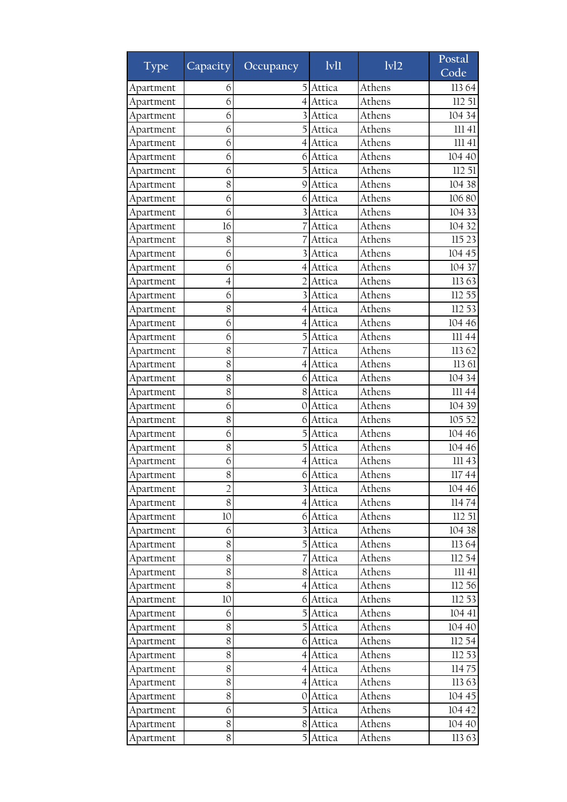| Type      | Capacity       | Occupancy        | 1v11     | 1v12   | Postal<br>Code |
|-----------|----------------|------------------|----------|--------|----------------|
| Apartment | 6              | 5                | Attica   | Athens | 11364          |
| Apartment | 6              |                  | Attica   | Athens | 112 51         |
| Apartment | 6              |                  | Attica   | Athens | 104 34         |
| Apartment | 6              |                  | Attica   | Athens | 111 41         |
| Apartment | 6              | 4                | Attica   | Athens | 11141          |
| Apartment | 6              | 6                | Attica   | Athens | 104 40         |
| Apartment | 6              | 5                | Attica   | Athens | 112 51         |
| Apartment | 8              | 9                | Attica   | Athens | 104 38         |
| Apartment | 6              | 6                | Attica   | Athens | 106 80         |
| Apartment | 6              | 3                | Attica   | Athens | 104 33         |
| Apartment | 16             |                  | Attica   | Athens | 104 32         |
| Apartment | 8              |                  | Attica   | Athens | 115 23         |
| Apartment | 6              |                  | Attica   | Athens | 104 45         |
| Apartment | 6              | 4                | Attica   | Athens | 104 37         |
| Apartment | $\overline{4}$ | 2                | Attica   | Athens | 11363          |
| Apartment | 6              |                  | Attica   | Athens | 112 55         |
| Apartment | 8              | 4                | Attica   | Athens | 112 53         |
| Apartment | 6              | 4                | Attica   | Athens | 104 46         |
| Apartment | 6              | 5                | Attica   | Athens | III 44         |
| Apartment | 8              |                  | Attica   | Athens | 11362          |
| Apartment | 8              |                  | Attica   | Athens | 113 61         |
| Apartment | 8              | 6                | Attica   | Athens | 104 34         |
| Apartment | 8              | 81               | Attica   | Athens | 111 44         |
| Apartment | 6              | 0                | Attica   | Athens | 104 39         |
| Apartment | 8              | 6                | Attica   | Athens | 105 52         |
| Apartment | 6              | 5                | Attica   | Athens | 104 46         |
| Apartment | 8              |                  | Attica   | Athens | 104 46         |
| Apartment | 6              | 4                | Attica   | Athens | 111 43         |
| Apartment | 8              | $\overline{6}$   | Attica   | Athens | 11744          |
| Apartment | $\overline{2}$ |                  | 3 Attica | Athens | 104 46         |
| Apartment | 8              |                  | 4 Attica | Athens | 11474          |
| Apartment | 10             | 6                | Attica   | Athens | 11251          |
| Apartment | 6              | $\overline{3}$   | Attica   | Athens | 104 38         |
| Apartment | 8              |                  | Attica   | Athens | 113 64         |
| Apartment | 8              | 7                | Attica   | Athens | 112 54         |
| Apartment | 8              |                  | 8 Attica | Athens | 11141          |
| Apartment | $8\,$          | $\left 4\right $ | Attica   | Athens | 112 56         |
| Apartment | 10             | 6                | Attica   | Athens | 112 53         |
| Apartment | 6              | 5                | Attica   | Athens | 104 41         |
| Apartment | 8              | $\overline{5}$   | Attica   | Athens | 104 40         |
| Apartment | 8              | 61               | Attica   | Athens | 112 54         |
| Apartment | 8              | 41               | Attica   | Athens | 112 53         |
| Apartment | 8              | $\overline{4}$   | Attica   | Athens | 11475          |
| Apartment | 8              | 4                | Attica   | Athens | 11363          |
| Apartment | 8              | $\overline{O}$   | Attica   | Athens | 104 45         |
| Apartment | 6              | 5                | Attica   | Athens | 104 42         |
| Apartment | 8              | 8                | Attica   | Athens | 104 40         |
| Apartment | 8              | 5                | Attica   | Athens | 11363          |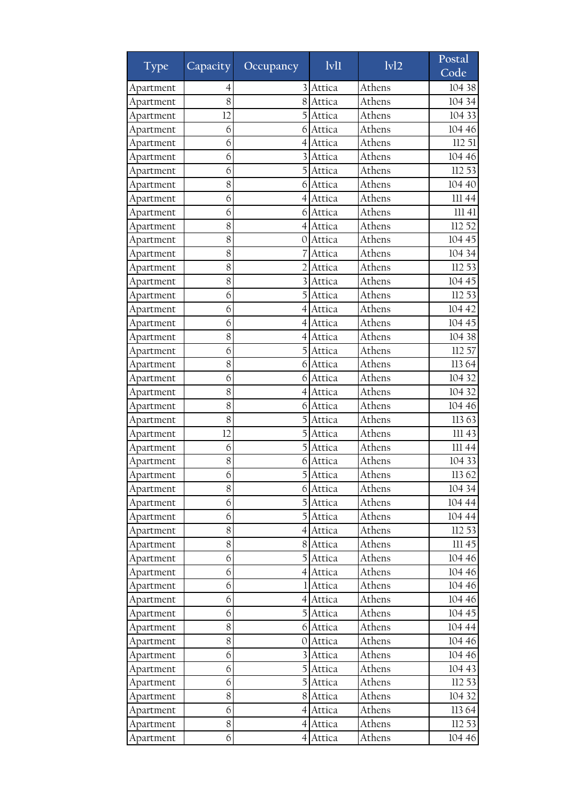| Type      | Capacity | Occupancy        | 1v11     | 1v12   | Postal<br>Code |
|-----------|----------|------------------|----------|--------|----------------|
| Apartment | 4        |                  | Attica   | Athens | 104 38         |
| Apartment | 8        | 8                | Attica   | Athens | 104 34         |
| Apartment | 12       |                  | Attica   | Athens | 104 33         |
| Apartment | 6        | 6                | Attica   | Athens | 104 46         |
| Apartment | 6        | 4                | Attica   | Athens | 112 51         |
| Apartment | 6        |                  | Attica   | Athens | 104 46         |
| Apartment | 6        | 5                | Attica   | Athens | 112 53         |
| Apartment | 8        | 6                | Attica   | Athens | 104 40         |
| Apartment | 6        | 4                | Attica   | Athens | 11144          |
| Apartment | 6        | 6                | Attica   | Athens | 111 41         |
| Apartment | 8        | $\left 4\right $ | Attica   | Athens | 112 52         |
| Apartment | 8        | 0                | Attica   | Athens | 104 45         |
| Apartment | 8        |                  | Attica   | Athens | 104 34         |
| Apartment | 8        | $\overline{2}$   | Attica   | Athens | 112 53         |
| Apartment | 8        |                  | Attica   | Athens | 104 45         |
| Apartment | 6        |                  | Attica   | Athens | 112 53         |
| Apartment | 6        | 4                | Attica   | Athens | 104 42         |
| Apartment | 6        | 4                | Attica   | Athens | 104 45         |
| Apartment | 8        | 4                | Attica   | Athens | 104 38         |
| Apartment | 6        | 5                | Attica   | Athens | 112 57         |
| Apartment | 8        | 6                | Attica   | Athens | 113 64         |
| Apartment | 6        | 6                | Attica   | Athens | 104 32         |
| Apartment | 8        | 41               | Attica   | Athens | 104 32         |
| Apartment | 8        | 6                | Attica   | Athens | 104 46         |
| Apartment | 8        | 5                | Attica   | Athens | 11363          |
| Apartment | 12       | 5                | Attica   | Athens | 111 43         |
| Apartment | 6        |                  | Attica   | Athens | 111 44         |
| Apartment | 8        | 6                | Attica   | Athens | 104 33         |
| Apartment | 6        | 5                | Attica   | Athens | 11362          |
| Apartment | 8        |                  | 6 Attica | Athens | 104 34         |
| Apartment | 6        |                  | 5 Attica | Athens | 104 44         |
| Apartment | 6        | 5                | Attica   | Athens | 104 44         |
| Apartment | 8        |                  | 4 Attica | Athens | 112 53         |
| Apartment | 8        | 8                | Attica   | Athens | 11145          |
| Apartment | 6        | $\mathbf{5}$     | Attica   | Athens | 104 46         |
| Apartment | 6        |                  | 4 Attica | Athens | 104 46         |
| Apartment | 6        |                  | Attica   | Athens | 104 46         |
| Apartment | 6        | $\overline{4}$   | Attica   | Athens | 104 46         |
| Apartment | 6        | 5                | Attica   | Athens | 104 45         |
| Apartment | 8        | 6                | Attica   | Athens | 104 44         |
| Apartment | 8        | O                | Attica   | Athens | 104 46         |
| Apartment | 6        | $\overline{3}$   | Attica   | Athens | 104 46         |
| Apartment | 6        | $\overline{5}$   | Attica   | Athens | 104 43         |
| Apartment | 6        | 5                | Attica   | Athens | 112 53         |
| Apartment | 8        | 8                | Attica   | Athens | 104 32         |
| Apartment | 6        | 4                | Attica   | Athens | 113 64         |
| Apartment | 8        | 4                | Attica   | Athens | 112 53         |
| Apartment | 6        | 41               | Attica   | Athens | 104 46         |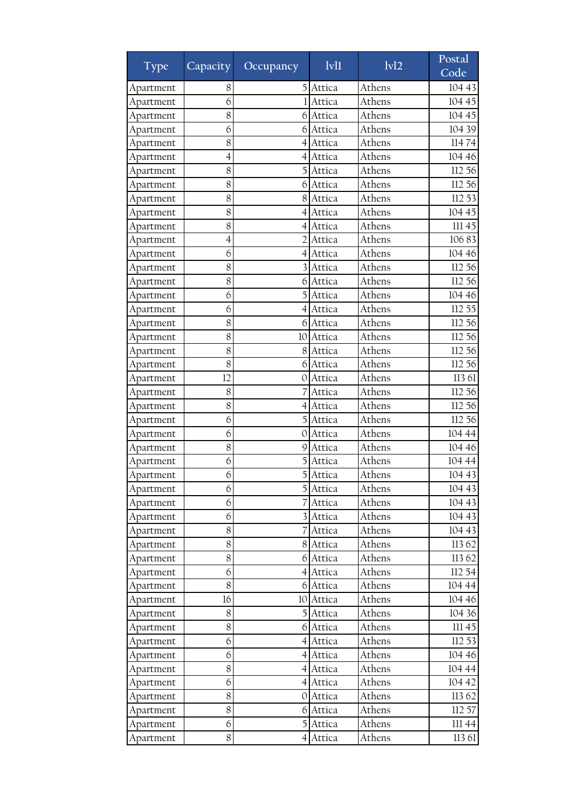| <b>Type</b> | Capacity       | Occupancy      | 1v11      | 1v12   | Postal<br>Code |
|-------------|----------------|----------------|-----------|--------|----------------|
| Apartment   | 8              | 5              | Attica    | Athens | 104 43         |
| Apartment   | 6              |                | Attica    | Athens | 104 45         |
| Apartment   | 8              | 6              | Attica    | Athens | 104 45         |
| Apartment   | 6              | 61             | Attica    | Athens | 104 39         |
| Apartment   | 8              | 4              | Attica    | Athens | 11474          |
| Apartment   | 4              | 4              | Attica    | Athens | 104 46         |
| Apartment   | 8              | 5              | Attica    | Athens | 112 56         |
| Apartment   | 8              | 6              | Attica    | Athens | 112 56         |
| Apartment   | 8              | 8              | Attica    | Athens | 112 53         |
| Apartment   | 8              | 4              | Attica    | Athens | 104 45         |
| Apartment   | 8              | 4              | Attica    | Athens | 11145          |
| Apartment   | $\overline{4}$ | $\mathcal{D}$  | Attica    | Athens | 10683          |
| Apartment   | 6              | 4              | Attica    | Athens | 104 46         |
| Apartment   | 8              | 3              | Attica    | Athens | 112 56         |
| Apartment   | 8              | 6              | Attica    | Athens | 112 56         |
| Apartment   | 6              |                | Attica    | Athens | 104 46         |
| Apartment   | 6              | 4              | Attica    | Athens | 112 55         |
| Apartment   | 8              | 6              | Attica    | Athens | 112 56         |
| Apartment   | 8              | 10             | Attica    | Athens | 112 56         |
| Apartment   | 8              | 8              | Attica    | Athens | 112 56         |
| Apartment   | 8              | 6              | Attica    | Athens | 112 56         |
| Apartment   | 12             | 0              | Attica    | Athens | 113 61         |
| Apartment   | 8              |                | Attica    | Athens | 112 56         |
| Apartment   | 8              | 4              | Attica    | Athens | 112 56         |
| Apartment   | 6              | 5              | Attica    | Athens | 112 56         |
| Apartment   | 6              | 0              | Attica    | Athens | 104 44         |
| Apartment   | 8              | 9              | Attica    | Athens | 104 46         |
| Apartment   | 6              |                | Attica    | Athens | 104 44         |
| Apartment   | 6              | 5              | Attica    | Athens | 104 43         |
| Apartment   | 6              |                | 5 Attica  | Athens | 104 43         |
| Apartment   | 6              |                | Attica    | Athens | 104 43         |
| Apartment   | 6              | $\overline{3}$ | Attica    | Athens | 104 43         |
| Apartment   | 8              |                | Attica    | Athens | 104 43         |
| Apartment   | 8              | 8              | Attica    | Athens | 113 62         |
| Apartment   | 8              | 6              | Attica    | Athens | 11362          |
| Apartment   | 6              | $\overline{4}$ | Attica    | Athens | 112 54         |
| Apartment   | $8\,$          |                | 6 Attica  | Athens | 104 44         |
| Apartment   | 16             |                | 10 Attica | Athens | 104 46         |
| Apartment   | 8              | 5              | Attica    | Athens | 104 36         |
| Apartment   | 8              | 6              | Attica    | Athens | III 45         |
| Apartment   | 6              | 41             | Attica    | Athens | 112 53         |
| Apartment   | 6              | 41             | Attica    | Athens | 104 46         |
| Apartment   | 8              | $\overline{4}$ | Attica    | Athens | 104 44         |
| Apartment   | 6              | 41             | Attica    | Athens | 104 42         |
| Apartment   | 8              | $\overline{0}$ | Attica    | Athens | 113 62         |
| Apartment   | 8              | 6              | Attica    | Athens | 112 57         |
| Apartment   | 6              | 5              | Attica    | Athens | III 44         |
| Apartment   | 8              | 41             | Attica    | Athens | 113 61         |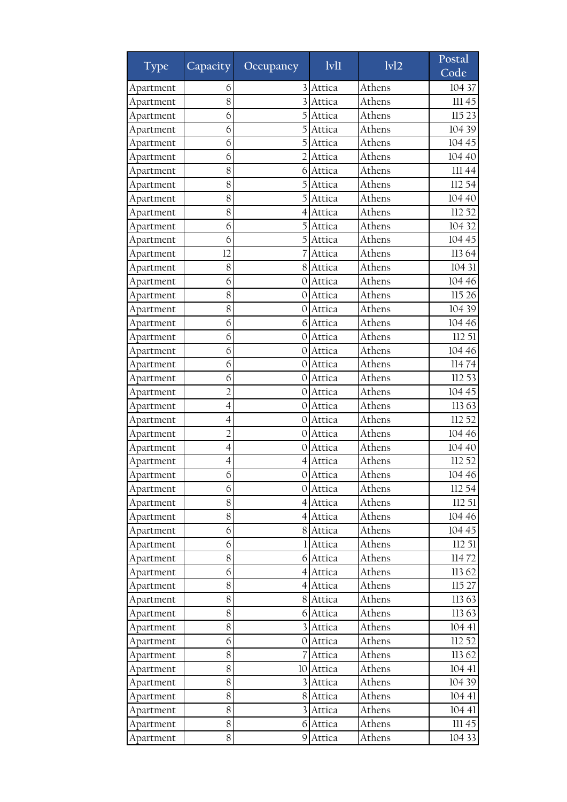| <b>Type</b> | Capacity <sup>1</sup> | Occupancy        | $1$ v $1$ | 1v12   | Postal<br>Code |
|-------------|-----------------------|------------------|-----------|--------|----------------|
| Apartment   | 6                     |                  | Attica    | Athens | 104 37         |
| Apartment   | 8                     |                  | Attica    | Athens | 111 45         |
| Apartment   | 6                     |                  | Attica    | Athens | 115 23         |
| Apartment   | 6                     |                  | Attica    | Athens | 104 39         |
| Apartment   | 6                     | 5                | Attica    | Athens | 104 45         |
| Apartment   | 6                     | $\overline{2}$   | Attica    | Athens | 104 40         |
| Apartment   | 8                     | 6                | Attica    | Athens | 11144          |
| Apartment   | 8                     |                  | Attica    | Athens | 112 54         |
| Apartment   | 8                     |                  | Attica    | Athens | 104 40         |
| Apartment   | 8                     | 4                | Attica    | Athens | 112 52         |
| Apartment   | 6                     |                  | Attica    | Athens | 104 32         |
| Apartment   | 6                     |                  | Attica    | Athens | 104 45         |
| Apartment   | 12                    |                  | Attica    | Athens | 11364          |
| Apartment   | 8                     | 8                | Attica    | Athens | 104 31         |
| Apartment   | 6                     | 0                | Attica    | Athens | 104 46         |
| Apartment   | 8                     | 0                | Attica    | Athens | 115 26         |
| Apartment   | 8                     | $\Omega$         | Attica    | Athens | 104 39         |
| Apartment   | 6                     | 6                | Attica    | Athens | 104 46         |
| Apartment   | 6                     | $\Omega$         | Attica    | Athens | 112 51         |
| Apartment   | 6                     | 0                | Attica    | Athens | 104 46         |
| Apartment   | 6                     | 0                | Attica    | Athens | 11474          |
| Apartment   | 6                     | 0                | Attica    | Athens | 112 53         |
| Apartment   | $\overline{2}$        | 0                | Attica    | Athens | 104 45         |
| Apartment   | $\overline{4}$        | $\Omega$         | Attica    | Athens | 11363          |
| Apartment   | 4                     | 0                | Attica    | Athens | 112 52         |
| Apartment   | $\overline{2}$        | 0                | Attica    | Athens | 104 46         |
| Apartment   | 4                     | 0                | Attica    | Athens | 104 40         |
| Apartment   | 4                     | $\left 4\right $ | Attica    | Athens | 112 52         |
| Apartment   | 6                     | $\overline{O}$   | Attica    | Athens | 104 46         |
| Apartment   | 6                     |                  | 0 Attica  | Athens | 112 54         |
| Apartment   | 8                     |                  | 4 Attica  | Athens | 112 51         |
| Apartment   | 8                     | $\left 4\right $ | Attica    | Athens | 104 46         |
| Apartment   | 6                     | 8                | Attica    | Athens | 104 45         |
| Apartment   | 6                     |                  | Attica    | Athens | 112 51         |
| Apartment   | 8                     |                  | 6 Attica  | Athens | 11472          |
| Apartment   | 6                     | $\overline{4}$   | Attica    | Athens | 11362          |
| Apartment   | 8                     | 4                | Attica    | Athens | 115 27         |
| Apartment   | 8                     | 8                | Attica    | Athens | 11363          |
| Apartment   | 8                     | 6                | Attica    | Athens | 11363          |
| Apartment   | 8                     | $\overline{3}$   | Attica    | Athens | 104 41         |
| Apartment   | 6                     | OI               | Attica    | Athens | 112 52         |
| Apartment   | $8\,$                 | 7                | Attica    | Athens | 11362          |
| Apartment   | 8                     |                  | 10 Attica | Athens | 104 41         |
| Apartment   | 8                     |                  | Attica    | Athens | 104 39         |
| Apartment   | 8                     | 8 <sup>1</sup>   | Attica    | Athens | 104 41         |
| Apartment   | 8                     |                  | Attica    | Athens | 104 41         |
| Apartment   | 8                     | 6                | Attica    | Athens | 11145          |
| Apartment   | 8                     | 9                | Attica    | Athens | 104 33         |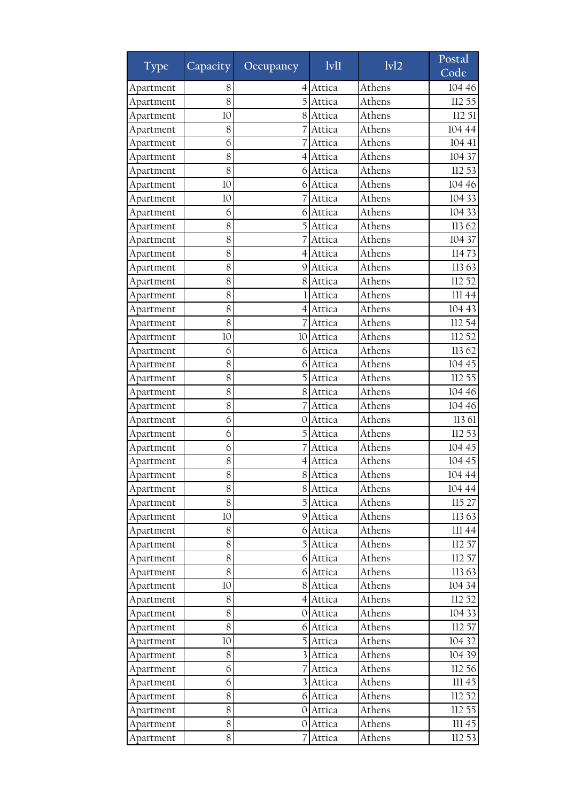| <b>Type</b> | Capacity <sup>1</sup> | Occupancy        | 1v11     | $\overline{ivl2}$ | Postal<br>Code |
|-------------|-----------------------|------------------|----------|-------------------|----------------|
| Apartment   | 8                     | 4                | Attica   | Athens            | 104 46         |
| Apartment   | 8                     |                  | Attica   | Athens            | 112 55         |
| Apartment   | 10                    | 8                | Attica   | Athens            | 112 51         |
| Apartment   | 8                     |                  | Attica   | Athens            | 104 44         |
| Apartment   | 6                     |                  | Attica   | Athens            | 104 41         |
| Apartment   | 8                     | 4                | Attica   | Athens            | 104 37         |
| Apartment   | 8                     | 6                | Attica   | Athens            | 112 53         |
| Apartment   | 10                    | 6                | Attica   | Athens            | 104 46         |
| Apartment   | 10                    | 7                | Attica   | Athens            | 104 33         |
| Apartment   | 6                     | 6                | Attica   | Athens            | 104 33         |
| Apartment   | 8                     | 5                | Attica   | Athens            | 11362          |
| Apartment   | 8                     |                  | Attica   | Athens            | 104 37         |
| Apartment   | 8                     | $\overline{4}$   | Attica   | Athens            | 11473          |
| Apartment   | 8                     | 9                | Attica   | Athens            | 11363          |
| Apartment   | 8                     | 8                | Attica   | Athens            | 112 52         |
| Apartment   | 8                     |                  | Attica   | Athens            | 111 44         |
| Apartment   | 8                     | 4                | Attica   | Athens            | 104 43         |
| Apartment   | 8                     |                  | Attica   | Athens            | 112 54         |
| Apartment   | 10                    | 10               | Attica   | Athens            | 112 52         |
| Apartment   | 6                     | 6                | Attica   | Athens            | 11362          |
| Apartment   | 8                     | 6                | Attica   | Athens            | 104 45         |
| Apartment   | 8                     | 5                | Attica   | Athens            | 112 55         |
| Apartment   | 8                     | 8                | Attica   | Athens            | 104 46         |
| Apartment   | 8                     |                  | Attica   | Athens            | 104 46         |
| Apartment   | 6                     | 0                | Attica   | Athens            | 113 61         |
| Apartment   | 6                     | 5                | Attica   | Athens            | 112 53         |
| Apartment   | 6                     |                  | Attica   | Athens            | 104 45         |
| Apartment   | 8                     | 4                | Attica   | Athens            | 104 45         |
| Apartment   | 8                     |                  | 8 Attica | Athens            | 104 44         |
| Apartment   | $8\,$                 |                  | 8 Attica | Athens            | 104 44         |
| Apartment   | 8                     |                  | Attica   | Athens            | 115 27         |
| Apartment   | 10                    | $\overline{9}$   | Attica   | Athens            | 11363          |
| Apartment   | 8                     | 6                | Attica   | Athens            | III 44         |
| Apartment   | 8                     | 5                | Attica   | Athens            | 112 57         |
| Apartment   | 8                     |                  | 6 Attica | Athens            | 112 57         |
| Apartment   | 8                     | 6                | Attica   | Athens            | 11363          |
| Apartment   | 10                    | 8                | Attica   | Athens            | 104 34         |
| Apartment   | 8                     | $\left 4\right $ | Attica   | Athens            | 112 52         |
| Apartment   | 8                     | 0                | Attica   | Athens            | 104 33         |
| Apartment   | 8                     | 61               | Attica   | Athens            | 112 57         |
| Apartment   | 10                    |                  | Attica   | Athens            | 104 32         |
| Apartment   | $8\,$                 |                  | 3 Attica | Athens            | 104 39         |
| Apartment   | 6                     |                  | Attica   | Athens            | 112 56         |
| Apartment   | 6                     | $\overline{3}$   | Attica   | Athens            | III 45         |
| Apartment   | 8                     | $6 \mid$         | Attica   | Athens            | 112 52         |
| Apartment   | 8                     | $\sigma$         | Attica   | Athens            | 112 55         |
| Apartment   | 8                     | U                | Attica   | Athens            | III 45         |
| Apartment   | $8\,$                 | 7                | Attica   | Athens            | 112 53         |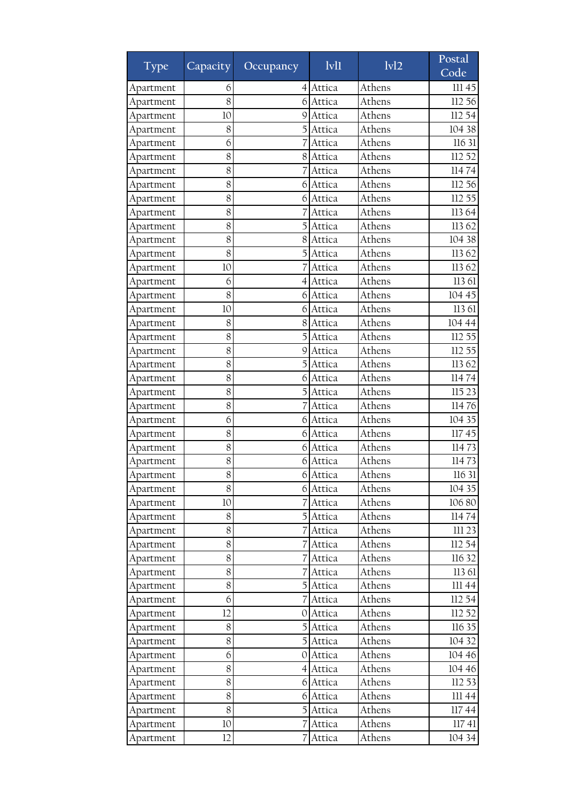| <b>Type</b> | Capacity        | Occupancy        | 1v11     | 1v12   | Postal<br>Code |
|-------------|-----------------|------------------|----------|--------|----------------|
| Apartment   | 6               | $\left 4\right $ | Attica   | Athens | 111 45         |
| Apartment   | 8               | 6                | Attica   | Athens | 112 56         |
| Apartment   | 10              | 9                | Attica   | Athens | 112 54         |
| Apartment   | 8               | 5                | Attica   | Athens | 104 38         |
| Apartment   | 6               |                  | Attica   | Athens | 116 31         |
| Apartment   | 8               | 8                | Attica   | Athens | 112 52         |
| Apartment   | 8               |                  | Attica   | Athens | 11474          |
| Apartment   | 8               | 6                | Attica   | Athens | 112 56         |
| Apartment   | 8               | 6                | Attica   | Athens | 112 55         |
| Apartment   | 8               |                  | Attica   | Athens | 11364          |
| Apartment   | 8               | 5                | Attica   | Athens | 113 62         |
| Apartment   | 8               | 8                | Attica   | Athens | 104 38         |
| Apartment   | 8               | 5                | Attica   | Athens | 11362          |
| Apartment   | 10              |                  | Attica   | Athens | 11362          |
| Apartment   | 6               | 4                | Attica   | Athens | 113 61         |
| Apartment   | 8               | 6                | Attica   | Athens | 104 45         |
| Apartment   | 10              | 6                | Attica   | Athens | 113 61         |
| Apartment   | 8               | 8                | Attica   | Athens | 104 44         |
| Apartment   | 8               | 5                | Attica   | Athens | 112 55         |
| Apartment   | 8               | 9                | Attica   | Athens | 112 55         |
| Apartment   | 8               |                  | Attica   | Athens | 11362          |
| Apartment   | 8               | 6                | Attica   | Athens | 11474          |
| Apartment   | 8               | 5                | Attica   | Athens | 115 23         |
| Apartment   | 8               |                  | Attica   | Athens | 11476          |
| Apartment   | 6               | 6                | Attica   | Athens | 104 35         |
| Apartment   | 8               | 6                | Attica   | Athens | 11745          |
| Apartment   | 8               | 6                | Attica   | Athens | 11473          |
| Apartment   | 8               | 6                | Attica   | Athens | 11473          |
| Apartment   | 8               | 6                | Attica   | Athens | 116 31         |
| Apartment   | 8               |                  | 6 Attica | Athens | 104 35         |
| Apartment   | $10\,$          |                  | Attica   | Athens | 106 80         |
| Apartment   | 8               | 5                | Attica   | Athens | 11474          |
| Apartment   | 8               |                  | Attica   | Athens | III 23         |
| Apartment   | 8               |                  | Attica   | Athens | 112 54         |
| Apartment   | 8               |                  | Attica   | Athens | 116 32         |
| Apartment   | 8               |                  | Attica   | Athens | 113 61         |
| Apartment   | 8               |                  | Attica   | Athens | III 44         |
| Apartment   | 6               |                  | Attica   | Athens | 112 54         |
| Apartment   | 12              | 0                | Attica   | Athens | 112 52         |
| Apartment   | 8               |                  | Attica   | Athens | 116 35         |
| Apartment   | 8               | $\overline{5}$   | Attica   | Athens | 104 32         |
| Apartment   | 6               | O                | Attica   | Athens | 104 46         |
| Apartment   | 8               | $\left 4\right $ | Attica   | Athens | 104 46         |
| Apartment   | 8               | 6                | Attica   | Athens | 112 53         |
| Apartment   | 8               | 6                | Attica   | Athens | $\rm III$ 44   |
| Apartment   | 8               | 5                | Attica   | Athens | 11744          |
| Apartment   | 10 <sup>°</sup> |                  | Attica   | Athens | 11741          |
| Apartment   | 12              | 7                | Attica   | Athens | 104 34         |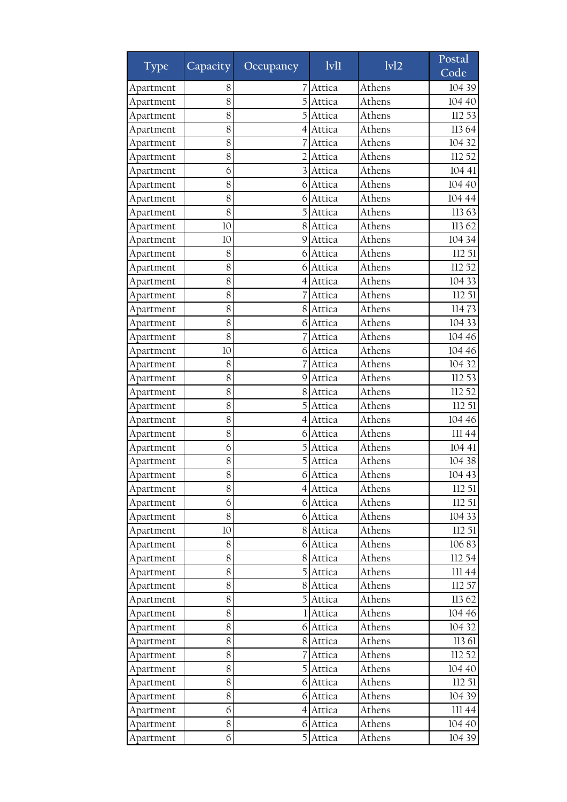| <b>Type</b> | Capacity | Occupancy      | 1v11     | 1v12   | Postal<br>Code |
|-------------|----------|----------------|----------|--------|----------------|
| Apartment   | 8        |                | Attica   | Athens | 104 39         |
| Apartment   | 8        |                | Attica   | Athens | 104 40         |
| Apartment   | 8        |                | Attica   | Athens | 112 53         |
| Apartment   | 8        | 4              | Attica   | Athens | 11364          |
| Apartment   | 8        |                | Attica   | Athens | 104 32         |
| Apartment   | 8        | 2              | Attica   | Athens | 112 52         |
| Apartment   | 6        | 3              | Attica   | Athens | 104 41         |
| Apartment   | 8        | 6              | Attica   | Athens | 104 40         |
| Apartment   | 8        | 6              | Attica   | Athens | 104 44         |
| Apartment   | 8        | 5              | Attica   | Athens | 11363          |
| Apartment   | 10       | 8              | Attica   | Athens | 113 62         |
| Apartment   | 10       | 9              | Attica   | Athens | 104 34         |
| Apartment   | 8        | 6              | Attica   | Athens | 112 51         |
| Apartment   | 8        | 6              | Attica   | Athens | 112 52         |
| Apartment   | 8        | 4              | Attica   | Athens | 104 33         |
| Apartment   | 8        |                | Attica   | Athens | 112 51         |
| Apartment   | 8        | 8              | Attica   | Athens | 11473          |
| Apartment   | 8        | 6              | Attica   | Athens | 104 33         |
| Apartment   | 8        |                | Attica   | Athens | 104 46         |
| Apartment   | 10       | 6              | Attica   | Athens | 104 46         |
| Apartment   | 8        |                | Attica   | Athens | 104 32         |
| Apartment   | 8        | 9              | Attica   | Athens | 112 53         |
| Apartment   | 8        | 8              | Attica   | Athens | 112 52         |
| Apartment   | 8        | 5              | Attica   | Athens | 112 51         |
| Apartment   | 8        | 4              | Attica   | Athens | 104 46         |
| Apartment   | 8        | 6              | Attica   | Athens | III 44         |
| Apartment   | 6        |                | Attica   | Athens | 104 41         |
| Apartment   | 8        |                | Attica   | Athens | 104 38         |
| Apartment   | 8        | 6              | Attica   | Athens | 104 43         |
| Apartment   | 8        |                | 4 Attica | Athens | 112 51         |
| Apartment   | 6        |                | 6 Attica | Athens | 112 51         |
| Apartment   | 8        | 6              | Attica   | Athens | 104 33         |
| Apartment   | $10\,$   | 8 <sup>1</sup> | Attica   | Athens | 112 51         |
| Apartment   | 8        | 6              | Attica   | Athens | 10683          |
| Apartment   | 8        | 8              | Attica   | Athens | 112 54         |
| Apartment   | 8        | $\mathbf{5}$   | Attica   | Athens | $\rm III$ 44   |
| Apartment   | 8        | 8              | Attica   | Athens | 112 57         |
| Apartment   | 8        | $\mathbf{5}$   | Attica   | Athens | 113 62         |
| Apartment   | 8        |                | Attica   | Athens | 104 46         |
| Apartment   | 8        | 6              | Attica   | Athens | 104 32         |
| Apartment   | 8        | 8              | Attica   | Athens | 113 61         |
| Apartment   | 8        |                | Attica   | Athens | 112 52         |
| Apartment   | 8        | $\overline{5}$ | Attica   | Athens | 104 40         |
| Apartment   | 8        | 6              | Attica   | Athens | 112 51         |
| Apartment   | 8        | 6              | Attica   | Athens | 104 39         |
| Apartment   | 6        | 4              | Attica   | Athens | 111 44         |
| Apartment   | 8        | 6              | Attica   | Athens | 104 40         |
| Apartment   | 6        | 5              | Attica   | Athens | 104 39         |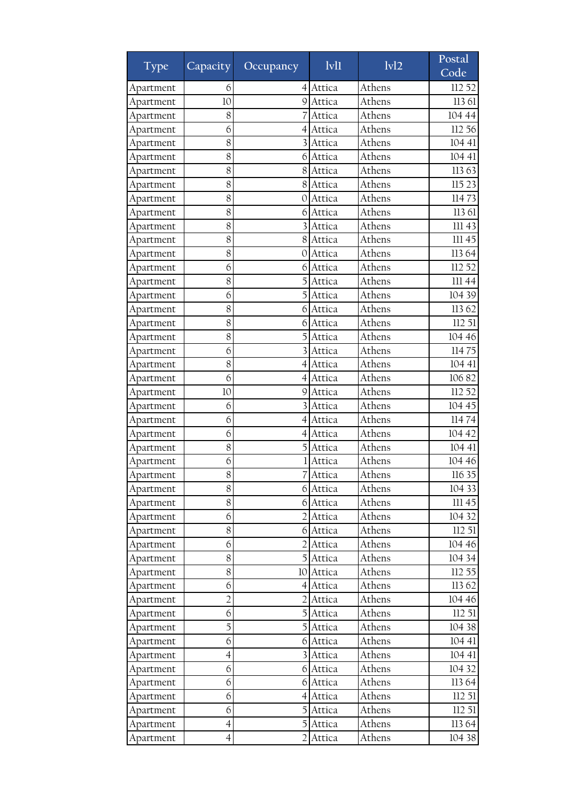| <b>Type</b> | Capacity       | Occupancy             | 1v11             | 1v12   | Postal<br>Code |
|-------------|----------------|-----------------------|------------------|--------|----------------|
|             | 6              |                       |                  | Athens | 112 52         |
| Apartment   | 10             | $\left 4\right $<br>9 | Attica<br>Attica | Athens | 113 61         |
| Apartment   | 8              |                       |                  | Athens | 104 44         |
| Apartment   | 6              |                       | Attica<br>Attica | Athens | 112 56         |
| Apartment   | 8              | 4<br>3                | Attica           | Athens | 104 41         |
| Apartment   |                |                       |                  | Athens |                |
| Apartment   | 8              | 6                     | Attica           | Athens | 104 41         |
| Apartment   | 8              | 8                     | Attica           | Athens | 11363          |
| Apartment   | 8              | 8                     | Attica           |        | 115 23         |
| Apartment   | 8              | 0                     | Attica           | Athens | 11473          |
| Apartment   | 8              | 6                     | Attica           | Athens | 113 61         |
| Apartment   | 8              |                       | Attica           | Athens | III 43         |
| Apartment   | 8              | 8                     | Attica           | Athens | 111 45         |
| Apartment   | 8              | 0                     | Attica           | Athens | 11364          |
| Apartment   | 6              | 6                     | Attica           | Athens | 112 52         |
| Apartment   | 8              |                       | Attica           | Athens | 111 44         |
| Apartment   | 6              |                       | Attica           | Athens | 104 39         |
| Apartment   | 8              | 6                     | Attica           | Athens | 11362          |
| Apartment   | 8              | 6                     | Attica           | Athens | 112 51         |
| Apartment   | 8              | 5                     | Attica           | Athens | 104 46         |
| Apartment   | 6              |                       | Attica           | Athens | 11475          |
| Apartment   | 8              |                       | Attica           | Athens | 104 41         |
| Apartment   | 6              | 4                     | Attica           | Athens | 10682          |
| Apartment   | 10             | 9                     | Attica           | Athens | 112 52         |
| Apartment   | 6              |                       | Attica           | Athens | 104 45         |
| Apartment   | 6              | 4                     | Attica           | Athens | 11474          |
| Apartment   | 6              | 4                     | Attica           | Athens | 104 42         |
| Apartment   | 8              |                       | Attica           | Athens | 104 41         |
| Apartment   | 6              |                       | Attica           | Athens | 104 46         |
| Apartment   | 8              | 7                     | Attica           | Athens | 116 35         |
| Apartment   | 8              |                       | 6 Attica         | Athens | 104 33         |
| Apartment   | 8              |                       | 6 Attica         | Athens | III 45         |
| Apartment   | 6              | $\overline{2}$        | Attica           | Athens | 104 32         |
| Apartment   | 8              | 6                     | Attica           | Athens | 112 51         |
| Apartment   | 6              |                       | Attica           | Athens | 104 46         |
| Apartment   | 8              | 5 <sub>l</sub>        | Attica           | Athens | 104 34         |
| Apartment   | 8              | 10                    | Attica           | Athens | 112 55         |
| Apartment   | 6              |                       | 4 Attica         | Athens | 113 62         |
| Apartment   | $\overline{2}$ | $\overline{2}$        | Attica           | Athens | 104 46         |
| Apartment   | 6              | 5                     | Attica           | Athens | 112 51         |
| Apartment   | 5              | $\overline{5}$        | Attica           | Athens | 104 38         |
| Apartment   | 6              | 61                    | Attica           | Athens | 104 41         |
| Apartment   | $\overline{4}$ | $\overline{3}$        | Attica           | Athens | 104 41         |
| Apartment   | 6              |                       | 6 Attica         | Athens | 104 32         |
| Apartment   | 6              | 6                     | Attica           | Athens | 11364          |
| Apartment   | 6              | $\overline{4}$        | Attica           | Athens | 112 51         |
| Apartment   | 6              | 5                     | Attica           | Athens | 112 51         |
| Apartment   | $\overline{4}$ | 5                     | Attica           | Athens | 11364          |
| Apartment   | $\overline{4}$ | $\overline{2}$        | Attica           | Athens | 104 38         |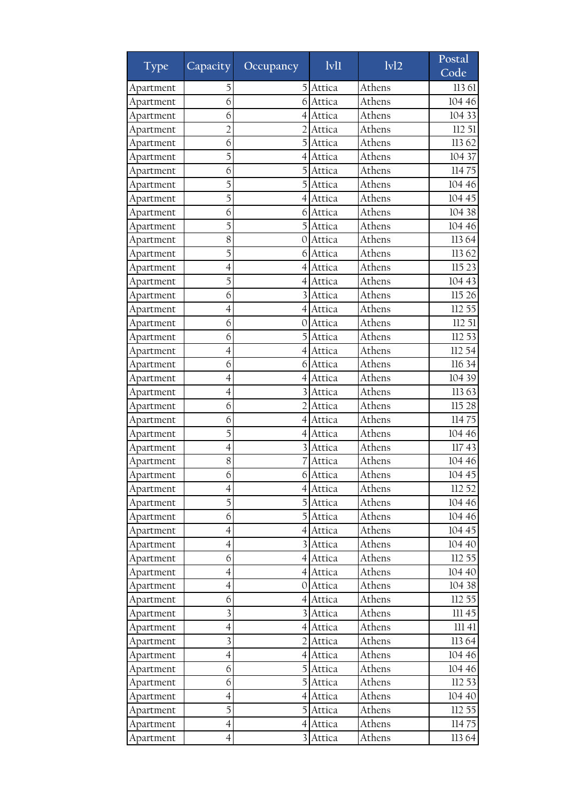| <b>Type</b> | Capacity                 | Occupancy               | 1v11     | 1v12   | Postal<br>Code |
|-------------|--------------------------|-------------------------|----------|--------|----------------|
| Apartment   | 5                        | 5                       | Attica   | Athens | 113 61         |
| Apartment   | 6                        | 6                       | Attica   | Athens | 104 46         |
| Apartment   | 6                        | 4                       | Attica   | Athens | 104 33         |
| Apartment   | 2                        |                         | Attica   | Athens | 112 51         |
| Apartment   | 6                        | 5                       | Attica   | Athens | 11362          |
| Apartment   | 5                        | 4                       | Attica   | Athens | 104 37         |
| Apartment   | 6                        | 5                       | Attica   | Athens | 11475          |
| Apartment   | 5                        |                         | Attica   | Athens | 104 46         |
| Apartment   | 5                        | 4                       | Attica   | Athens | 104 45         |
| Apartment   | 6                        | 6                       | Attica   | Athens | 104 38         |
| Apartment   | 5                        | 5                       | Attica   | Athens | 104 46         |
| Apartment   | 8                        | 0                       | Attica   | Athens | 11364          |
| Apartment   | 5                        | 6                       | Attica   | Athens | 11362          |
| Apartment   | $\overline{4}$           | 4                       | Attica   | Athens | 115 23         |
| Apartment   | 5                        | 4                       | Attica   | Athens | 104 43         |
| Apartment   | 6                        |                         | Attica   | Athens | 115 26         |
| Apartment   | $\overline{4}$           | $\left 4\right $        | Attica   | Athens | 112 55         |
| Apartment   | 6                        | 0                       | Attica   | Athens | 112 51         |
| Apartment   | 6                        |                         | Attica   | Athens | 112 53         |
| Apartment   | 4                        | 4                       | Attica   | Athens | 112 54         |
| Apartment   | 6                        | 6                       | Attica   | Athens | 116 34         |
| Apartment   | $\overline{4}$           | 4                       | Attica   | Athens | 104 39         |
| Apartment   | 4                        |                         | Attica   | Athens | 113 63         |
| Apartment   | 6                        |                         | Attica   | Athens | 115 28         |
| Apartment   | 6                        | 4                       | Attica   | Athens | 11475          |
| Apartment   | 5                        | 4                       | Attica   | Athens | 104 46         |
| Apartment   | 4                        |                         | Attica   | Athens | 11743          |
| Apartment   | 8                        |                         | Attica   | Athens | 104 46         |
| Apartment   | 6                        | 6                       | Attica   | Athens | 104 45         |
| Apartment   | $\overline{4}$           |                         | 4 Attica | Athens | 112 52         |
| Apartment   | 5                        |                         | 5 Attica | Athens | 104 46         |
| Apartment   | 6                        | $\mathbf{5}$            | Attica   | Athens | 104 46         |
| Apartment   | $\overline{4}$           |                         | 4 Attica | Athens | 104 45         |
| Apartment   | $\overline{\mathcal{A}}$ |                         | Attica   | Athens | 104 40         |
| Apartment   | 6                        |                         | 4 Attica | Athens | 112 55         |
| Apartment   | $\overline{\mathcal{A}}$ |                         | 4 Attica | Athens | 104 40         |
| Apartment   | $\overline{\mathcal{A}}$ | 0                       | Attica   | Athens | 104 38         |
| Apartment   | 6                        | 4                       | Attica   | Athens | 112 55         |
| Apartment   | 3                        |                         | Attica   | Athens | III 45         |
| Apartment   | $\overline{4}$           |                         | 4 Attica | Athens | 11141          |
| Apartment   | $\overline{\mathbf{3}}$  | $\overline{2}$          | Attica   | Athens | 11364          |
| Apartment   | $\overline{4}$           | 41                      | Attica   | Athens | 104 46         |
| Apartment   | 6                        | $\overline{5}$          | Attica   | Athens | 104 46         |
| Apartment   | 6                        | 5                       | Attica   | Athens | 112 53         |
| Apartment   | $\overline{4}$           | $\overline{4}$          | Attica   | Athens | 104 40         |
| Apartment   | 5                        | 5                       | Attica   | Athens | 112 55         |
| Apartment   | $\overline{4}$           | 4                       | Attica   | Athens | 11475          |
| Apartment   | $\overline{4}$           | $\overline{\mathbf{3}}$ | Attica   | Athens | 113 64         |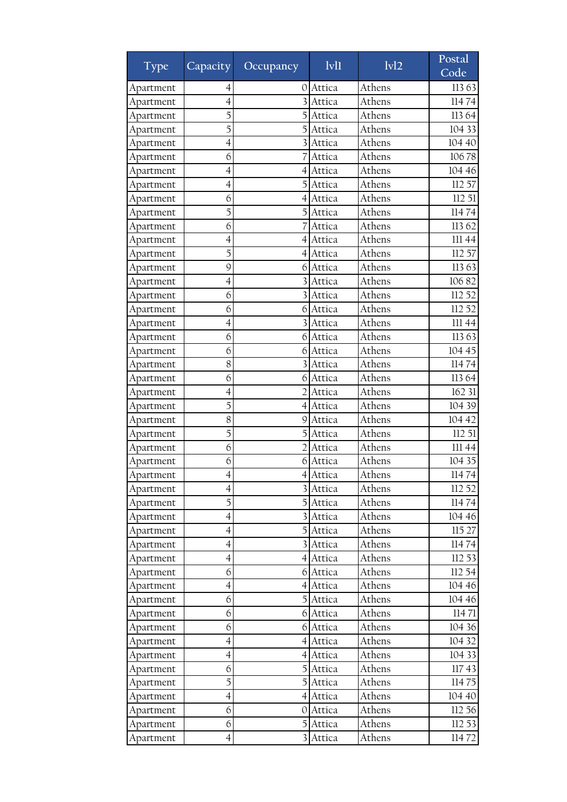| <b>Type</b> | Capacity                 | Occupancy        | 1v11     | 1v12   | Postal<br>Code |
|-------------|--------------------------|------------------|----------|--------|----------------|
| Apartment   | 4                        | 0                | Attica   | Athens | 11363          |
| Apartment   | $\overline{4}$           |                  | Attica   | Athens | 11474          |
| Apartment   | 5                        |                  | Attica   | Athens | 113 64         |
| Apartment   | 5                        |                  | Attica   | Athens | 104 33         |
| Apartment   | $\overline{4}$           |                  | Attica   | Athens | 104 40         |
| Apartment   | 6                        |                  | Attica   | Athens | 10678          |
| Apartment   | 4                        | 4                | Attica   | Athens | 104 46         |
| Apartment   | 4                        |                  | Attica   | Athens | 112 57         |
| Apartment   | 6                        | 4                | Attica   | Athens | 112 51         |
| Apartment   | 5                        | 5                | Attica   | Athens | 11474          |
| Apartment   | 6                        |                  | Attica   | Athens | 11362          |
| Apartment   | $\overline{4}$           | 4                | Attica   | Athens | 111 44         |
| Apartment   | 5                        | 4                | Attica   | Athens | 112 57         |
| Apartment   | 9                        | 6                | Attica   | Athens | 11363          |
| Apartment   | $\overline{\mathcal{A}}$ |                  | Attica   | Athens | 10682          |
| Apartment   | 6                        |                  | Attica   | Athens | 112 52         |
| Apartment   | 6                        | 6                | Attica   | Athens | 112 52         |
| Apartment   | 4                        |                  | Attica   | Athens | 111 44         |
| Apartment   | 6                        | 6                | Attica   | Athens | 11363          |
| Apartment   | 6                        | 6                | Attica   | Athens | 104 45         |
| Apartment   | 8                        |                  | Attica   | Athens | 11474          |
| Apartment   | 6                        | 6                | Attica   | Athens | 11364          |
| Apartment   | 4                        |                  | Attica   | Athens | 162 31         |
| Apartment   | 5                        | 4                | Attica   | Athens | 104 39         |
| Apartment   | 8                        | 9                | Attica   | Athens | 104 42         |
| Apartment   | 5                        |                  | Attica   | Athens | 112 51         |
| Apartment   | 6                        |                  | Attica   | Athens | 11144          |
| Apartment   | 6                        | 6                | Attica   | Athens | 104 35         |
| Apartment   | 4                        | 4                | Attica   | Athens | 11474          |
| Apartment   | $\overline{4}$           |                  | 3 Attica | Athens | 112 52         |
| Apartment   | 5                        |                  | 5 Attica | Athens | 11474          |
| Apartment   | 4                        | $\overline{3}$   | Attica   | Athens | 104 46         |
| Apartment   | $\overline{4}$           | $\overline{5}$   | Attica   | Athens | 115 27         |
| Apartment   | $\overline{4}$           |                  | Attica   | Athens | 11474          |
| Apartment   | $\overline{4}$           | 41               | Attica   | Athens | 112 53         |
| Apartment   | 6                        |                  | 6 Attica | Athens | 112 54         |
| Apartment   | $\overline{\mathcal{A}}$ | $\left 4\right $ | Attica   | Athens | 104 46         |
| Apartment   | 6                        | $\mathbf{5}$     | Attica   | Athens | 104 46         |
| Apartment   | 6                        | 6                | Attica   | Athens | 11471          |
| Apartment   | 6                        | 6                | Attica   | Athens | 104 36         |
| Apartment   | $\overline{4}$           | $\left 4\right $ | Attica   | Athens | 104 32         |
| Apartment   | $\overline{4}$           | 41               | Attica   | Athens | 104 33         |
| Apartment   | 6                        | $\overline{5}$   | Attica   | Athens | 11743          |
| Apartment   | 5                        | 5                | Attica   | Athens | 11475          |
| Apartment   | $\overline{4}$           | $\overline{4}$   | Attica   | Athens | 104 40         |
| Apartment   | 6                        | 0                | Attica   | Athens | 112 56         |
| Apartment   | 6                        | 5                | Attica   | Athens | 112 53         |
| Apartment   | $\overline{4}$           | 3                | Attica   | Athens | 11472          |
|             |                          |                  |          |        |                |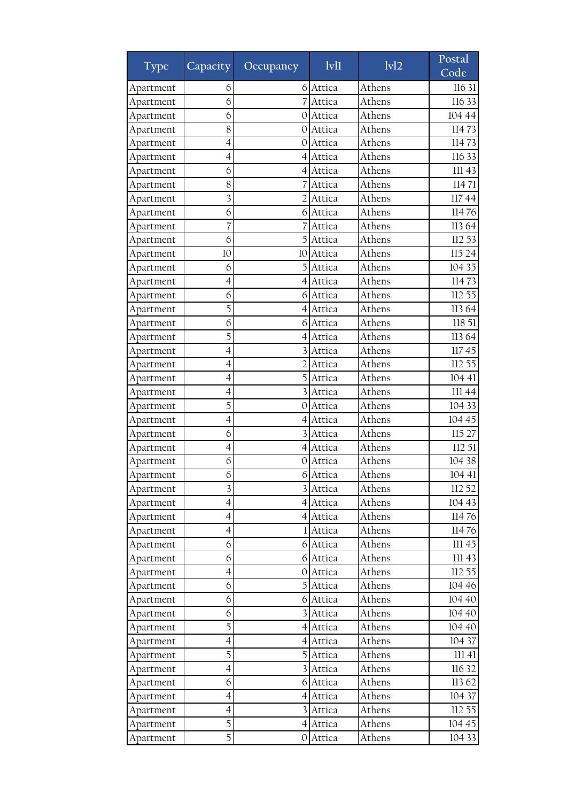| <b>Type</b> | Capacity                 | Occupancy      | 1v11     | 1v12   | Postal<br>Code |
|-------------|--------------------------|----------------|----------|--------|----------------|
| Apartment   | 6                        | 6              | Attica   | Athens | 116 31         |
| Apartment   | 6                        |                | Attica   | Athens | 116 33         |
| Apartment   | 6                        | O              | Attica   | Athens | 104 44         |
| Apartment   | 8                        | $\Omega$       | Attica   | Athens | 11473          |
| Apartment   | $\overline{4}$           | $\Omega$       | Attica   | Athens | 11473          |
| Apartment   | $\overline{4}$           | 4              | Attica   | Athens | 116 33         |
| Apartment   | 6                        | 4              | Attica   | Athens | 111 43         |
| Apartment   | 8                        |                | Attica   | Athens | 11471          |
| Apartment   | 3                        |                | Attica   | Athens | 11744          |
| Apartment   | 6                        | 6              | Attica   | Athens | 11476          |
| Apartment   | 7                        |                | Attica   | Athens | 11364          |
| Apartment   | 6                        | 5              | Attica   | Athens | 112 53         |
| Apartment   | 10                       | 10             | Attica   | Athens | 115 24         |
| Apartment   | 6                        | 5              | Attica   | Athens | 104 35         |
| Apartment   | 4                        | 4              | Attica   | Athens | 11473          |
| Apartment   | 6                        | 6              | Attica   | Athens | 112 55         |
| Apartment   | 5                        | $\overline{4}$ | Attica   | Athens | 11364          |
| Apartment   | 6                        | 6              | Attica   | Athens | 118 51         |
| Apartment   | 5                        | 4              | Attica   | Athens | 11364          |
| Apartment   | $\overline{4}$           |                | Attica   | Athens | 11745          |
| Apartment   | 4                        | $\overline{2}$ | Attica   | Athens | 112 55         |
| Apartment   | $\overline{4}$           |                | Attica   | Athens | 104 41         |
| Apartment   | 4                        |                | Attica   | Athens | 111 44         |
| Apartment   | 5                        | $\Omega$       | Attica   | Athens | 104 33         |
| Apartment   | $\overline{4}$           | 4              | Attica   | Athens | 104 45         |
| Apartment   | 6                        | 3              | Attica   | Athens | 115 27         |
| Apartment   | 4                        | 4              | Attica   | Athens | 112 51         |
| Apartment   | 6                        | 0              | Attica   | Athens | 104 38         |
| Apartment   | 6                        | 6              | Attica   | Athens | 104 41         |
| Apartment   | 3                        |                | 3 Attica | Athens | 112 52         |
| Apartment   | $\overline{4}$           |                | 4 Attica | Athens | 104 43         |
| Apartment   | 4                        |                | 4 Attica | Athens | 11476          |
| Apartment   | $\overline{4}$           |                | 1 Attica | Athens | 11476          |
| Apartment   | 6                        | 6              | Attica   | Athens | III 45         |
| Apartment   | 6                        |                | 6 Attica | Athens | 11143          |
| Apartment   | $\overline{\mathcal{A}}$ | $\cup$         | Attica   | Athens | 112 55         |
| Apartment   | 6                        |                | Attica   | Athens | 104 46         |
| Apartment   | 6                        | 6              | Attica   | Athens | 104 40         |
| Apartment   | 6                        |                | Attica   | Athens | 104 40         |
| Apartment   | 5                        |                | 4 Attica | Athens | 104 40         |
| Apartment   | $\overline{4}$           | 41             | Attica   | Athens | 104 37         |
| Apartment   | 5                        | 5              | Attica   | Athens | 11141          |
| Apartment   | $\overline{4}$           |                | Attica   | Athens | 116 32         |
| Apartment   | 6                        | 6              | Attica   | Athens | 113 62         |
| Apartment   | $\overline{4}$           | $\overline{4}$ | Attica   | Athens | 104 37         |
| Apartment   | $\overline{\mathcal{A}}$ |                | Attica   | Athens | 112 55         |
| Apartment   | 5                        |                | 4 Attica | Athens | 104 45         |
| Apartment   | 5                        | 0              | Attica   | Athens | 104 33         |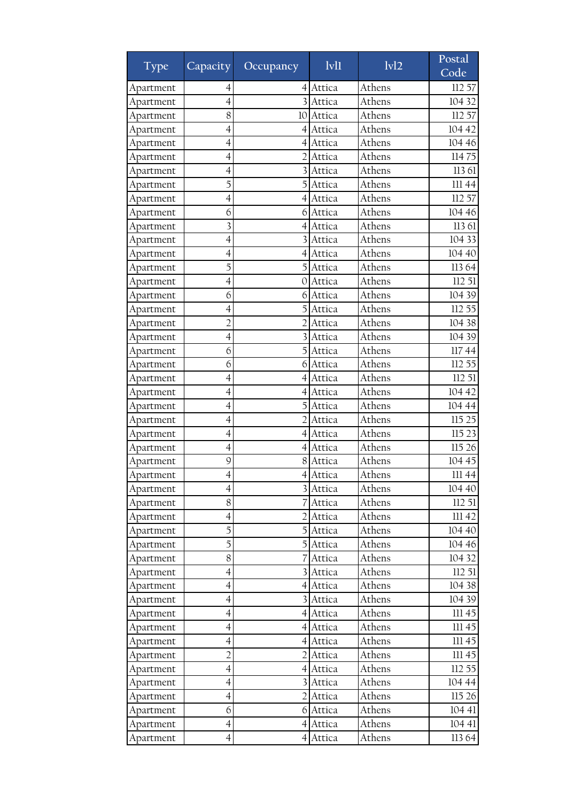| <b>Type</b> | Capacity                 | Occupancy               | Ivl1     | 1v12   | Postal<br>Code |
|-------------|--------------------------|-------------------------|----------|--------|----------------|
| Apartment   | 4                        | 4                       | Attica   | Athens | 112 57         |
| Apartment   | $\overline{4}$           |                         | Attica   | Athens | 104 32         |
| Apartment   | 8                        | 10                      | Attica   | Athens | 112 57         |
| Apartment   | $\overline{4}$           | $\left 4\right $        | Attica   | Athens | 104 42         |
| Apartment   | $\overline{4}$           | $\overline{4}$          | Attica   | Athens | 104 46         |
| Apartment   | 4                        | 2                       | Attica   | Athens | 11475          |
| Apartment   | 4                        |                         | Attica   | Athens | 113 61         |
| Apartment   | 5                        |                         | Attica   | Athens | 11144          |
| Apartment   | 4                        | 4                       | Attica   | Athens | 112 57         |
| Apartment   | 6                        | 6                       | Attica   | Athens | 104 46         |
| Apartment   | 3                        | 4                       | Attica   | Athens | 113 61         |
| Apartment   | $\overline{4}$           | 3                       | Attica   | Athens | 104 33         |
| Apartment   | 4                        | $\overline{4}$          | Attica   | Athens | 104 40         |
| Apartment   | 5                        | 5                       | Attica   | Athens | 11364          |
| Apartment   | $\overline{4}$           | 0                       | Attica   | Athens | 112 51         |
| Apartment   | 6                        | 6                       | Attica   | Athens | 104 39         |
| Apartment   | $\overline{4}$           | 5                       | Attica   | Athens | 112 55         |
| Apartment   | $\overline{2}$           |                         | Attica   | Athens | 104 38         |
| Apartment   | $\overline{4}$           | $\overline{3}$          | Attica   | Athens | 104 39         |
| Apartment   | 6                        | 5                       | Attica   | Athens | 11744          |
| Apartment   | 6                        | 6                       | Attica   | Athens | 112 55         |
| Apartment   | $\overline{4}$           | 4                       | Attica   | Athens | 112 51         |
| Apartment   | 4                        | 4                       | Attica   | Athens | 104 42         |
| Apartment   | $\overline{4}$           | 5                       | Attica   | Athens | 104 44         |
| Apartment   | 4                        | $\overline{2}$          | Attica   | Athens | 115 25         |
| Apartment   | 4                        | 4                       | Attica   | Athens | 115 23         |
| Apartment   | $\overline{\mathcal{A}}$ | 4                       | Attica   | Athens | 115 26         |
| Apartment   | 9                        | 8                       | Attica   | Athens | 104 45         |
| Apartment   | 4                        | $\overline{4}$          | Attica   | Athens | 111 44         |
| Apartment   | $\overline{4}$           |                         | 3 Attica | Athens | 104 40         |
| Apartment   | 8                        |                         | Attica   | Athens | 112 51         |
| Apartment   | 4                        | 2                       | Attica   | Athens | III 42         |
| Apartment   | 5                        | $\overline{5}$          | Attica   | Athens | 104 40         |
| Apartment   | 5                        | 5                       | Attica   | Athens | 104 46         |
| Apartment   | 8                        | 7                       | Attica   | Athens | 104 32         |
| Apartment   | $\overline{\mathcal{A}}$ |                         | 3 Attica | Athens | 11251          |
| Apartment   | 4                        | $\left 4\right $        | Attica   | Athens | 104 38         |
| Apartment   | $\overline{4}$           | $\overline{\mathbf{3}}$ | Attica   | Athens | 104 39         |
| Apartment   | 4                        | 4                       | Attica   | Athens | III 45         |
| Apartment   | $\overline{4}$           |                         | 4 Attica | Athens | III 45         |
| Apartment   | $\overline{\mathcal{A}}$ | $\left 4\right $        | Attica   | Athens | III 45         |
| Apartment   | $\overline{c}$           | 2                       | Attica   | Athens | III 45         |
| Apartment   | $\overline{4}$           |                         | 4 Attica | Athens | 112 55         |
| Apartment   | $\overline{4}$           | $\overline{3}$          | Attica   | Athens | 104 44         |
| Apartment   | $\overline{4}$           | $\overline{2}$          | Attica   | Athens | 115 26         |
| Apartment   | 6                        | 6                       | Attica   | Athens | 104 41         |
| Apartment   | $\overline{4}$           | $\left 4\right $        | Attica   | Athens | 104 41         |
| Apartment   | $\overline{4}$           | $\left 4\right $        | Attica   | Athens | 113 64         |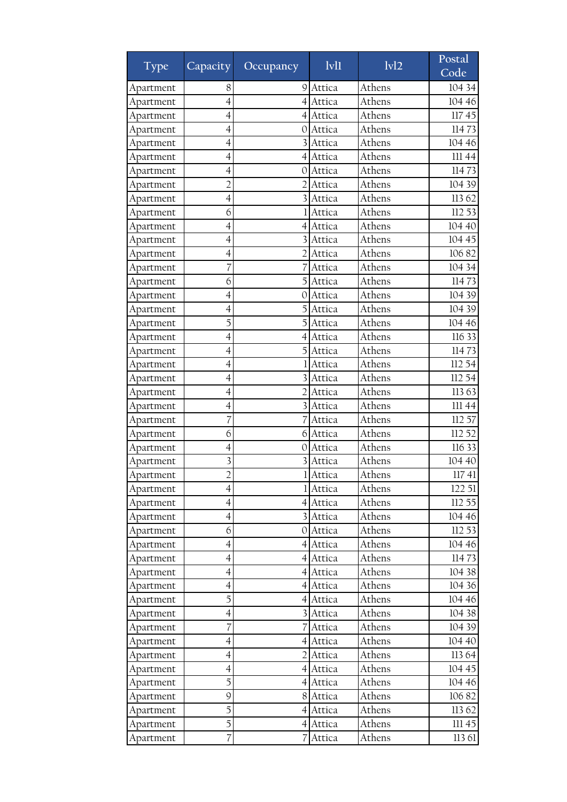| <b>Type</b> | Capacity                 | Occupancy        | Ivl1     | 1v12   | Postal<br>Code |
|-------------|--------------------------|------------------|----------|--------|----------------|
| Apartment   | 8                        | 9                | Attica   | Athens | 104 34         |
| Apartment   | 4                        |                  | Attica   | Athens | 104 46         |
| Apartment   | 4                        | 4                | Attica   | Athens | 11745          |
| Apartment   | 4                        | 0                | Attica   | Athens | 11473          |
| Apartment   | $\overline{4}$           |                  | Attica   | Athens | 104 46         |
| Apartment   | 4                        | $\overline{4}$   | Attica   | Athens | 111 44         |
| Apartment   | 4                        | 0                | Attica   | Athens | 11473          |
| Apartment   | $\overline{2}$           |                  | Attica   | Athens | 104 39         |
| Apartment   | 4                        | 3                | Attica   | Athens | 11362          |
| Apartment   | 6                        |                  | Attica   | Athens | 112 53         |
| Apartment   | $\overline{4}$           | 4                | Attica   | Athens | 104 40         |
| Apartment   | $\overline{4}$           | 3                | Attica   | Athens | 104 45         |
| Apartment   | 4                        | 2                | Attica   | Athens | 10682          |
| Apartment   | 7                        |                  | Attica   | Athens | 104 34         |
| Apartment   | 6                        | 5                | Attica   | Athens | 11473          |
| Apartment   | 4                        | 0                | Attica   | Athens | 104 39         |
| Apartment   | $\overline{4}$           |                  | Attica   | Athens | 104 39         |
| Apartment   | 5                        |                  | Attica   | Athens | 104 46         |
| Apartment   | $\overline{4}$           | $\overline{4}$   | Attica   | Athens | 116 33         |
| Apartment   | 4                        | 5                | Attica   | Athens | 11473          |
| Apartment   | 4                        |                  | Attica   | Athens | 112 54         |
| Apartment   | $\overline{4}$           |                  | Attica   | Athens | 112 54         |
| Apartment   | 4                        |                  | Attica   | Athens | 113 63         |
| Apartment   | $\overline{4}$           | 3                | Attica   | Athens | III 44         |
| Apartment   | 7                        |                  | Attica   | Athens | 112 57         |
| Apartment   | 6                        | 6                | Attica   | Athens | 112 52         |
| Apartment   | $\overline{4}$           | 0                | Attica   | Athens | 116 33         |
| Apartment   | 3                        | 3                | Attica   | Athens | 104 40         |
| Apartment   | $\overline{2}$           | 1                | Attica   | Athens | 11741          |
| Apartment   | $\overline{4}$           |                  | 1 Attica | Athens | 122 51         |
| Apartment   | $\overline{4}$           |                  | 4 Attica | Athens | 112 55         |
| Apartment   | 4                        |                  | 3 Attica | Athens | 104 46         |
| Apartment   | 6                        |                  | 0 Attica | Athens | 112 53         |
| Apartment   | 4                        | $\left 4\right $ | Attica   | Athens | 104 46         |
| Apartment   | $\overline{4}$           |                  | 4 Attica | Athens | 11473          |
| Apartment   | 4                        |                  | 4 Attica | Athens | 104 38         |
| Apartment   | 4                        |                  | 4 Attica | Athens | 104 36         |
| Apartment   | 5                        | 4                | Attica   | Athens | 104 46         |
| Apartment   | 4                        |                  | Attica   | Athens | 104 38         |
| Apartment   | 7                        |                  | Attica   | Athens | 104 39         |
| Apartment   | $\overline{4}$           | 4                | Attica   | Athens | 104 40         |
| Apartment   | 4                        | 2                | Attica   | Athens | 113 64         |
| Apartment   | $\overline{\mathcal{A}}$ | $\left 4\right $ | Attica   | Athens | 104 45         |
| Apartment   | 5                        | 4                | Attica   | Athens | 104 46         |
| Apartment   | 9                        | 8 <sup>1</sup>   | Attica   | Athens | 10682          |
| Apartment   | 5                        | 4                | Attica   | Athens | 11362          |
| Apartment   | 5                        |                  | 4 Attica | Athens | 111 45         |
| Apartment   | 7                        | 7                | Attica   | Athens | 113 61         |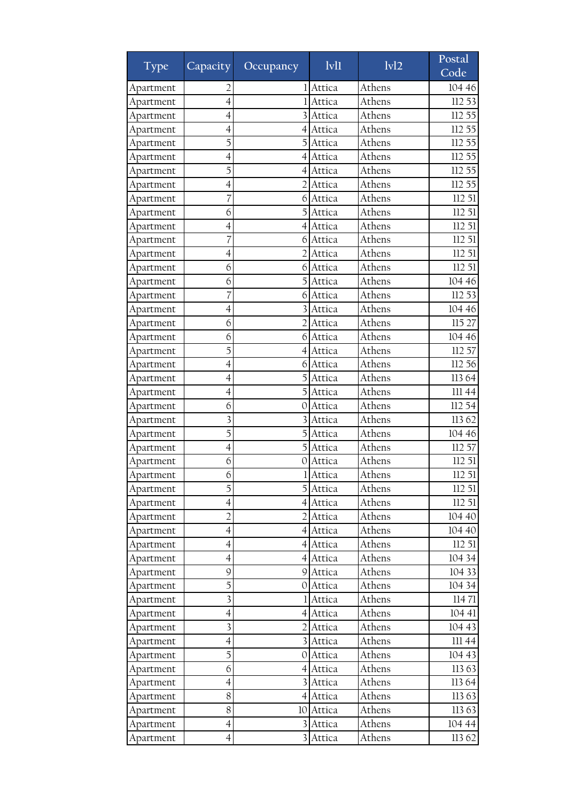| Athens<br>104 46<br>Apartment<br>2<br>Attica<br>Athens<br>112 53<br>$\overline{4}$<br>Attica<br>Apartment<br>Athens<br>112 55<br>4<br>Attica<br>Apartment<br>Athens<br>Attica<br>112 55<br>4<br>Apartment<br>4<br>5<br>Athens<br>5<br>112 55<br>Attica<br>Apartment<br>Athens<br>112 55<br>Attica<br>4<br>Apartment<br>4<br>Athens<br>5<br>Attica<br>112 55<br>Apartment<br>4<br>Athens<br>112 55<br>$\overline{4}$<br>Attica<br>Apartment<br>Athens<br>Attica<br>112 51<br>7<br>Apartment<br>6<br>5<br>6<br>Attica<br>Athens<br>112 51<br>Apartment<br>Athens<br>$\overline{4}$<br>Attica<br>112 51<br>Apartment<br>$\left 4\right $<br>Athens<br>112 51<br>7<br>Attica<br>Apartment<br>6<br>Athens<br>2<br>Attica<br>112 51<br>Apartment<br>4<br>Athens<br>112 51<br>Attica<br>6<br>6<br>Apartment<br>6<br>Athens<br>104 46<br>Attica<br>Apartment<br>Athens<br>Attica<br>112 53<br>7<br>Apartment<br>6<br>$\overline{4}$<br>Athens<br>104 46<br>Attica<br>3<br>Apartment<br>6<br>Athens<br>115 27<br>Apartment<br>Attica<br>Athens<br>Attica<br>104 46<br>6<br>6<br>Apartment<br>Athens<br>5<br>112 57<br>Attica<br>Apartment<br>4<br>Athens<br>112 56<br>$\overline{4}$<br>Attica<br>Apartment<br>6<br>11364<br>$\overline{4}$<br>Athens<br>Attica<br>Apartment<br>Athens<br>5<br>Attica<br>111 44<br>4<br>Apartment | <b>Type</b> | Capacity | Occupancy | 1v11   | 1v12   | Postal<br>Code |
|--------------------------------------------------------------------------------------------------------------------------------------------------------------------------------------------------------------------------------------------------------------------------------------------------------------------------------------------------------------------------------------------------------------------------------------------------------------------------------------------------------------------------------------------------------------------------------------------------------------------------------------------------------------------------------------------------------------------------------------------------------------------------------------------------------------------------------------------------------------------------------------------------------------------------------------------------------------------------------------------------------------------------------------------------------------------------------------------------------------------------------------------------------------------------------------------------------------------------------------------------------------------------------------------------------------------------|-------------|----------|-----------|--------|--------|----------------|
|                                                                                                                                                                                                                                                                                                                                                                                                                                                                                                                                                                                                                                                                                                                                                                                                                                                                                                                                                                                                                                                                                                                                                                                                                                                                                                                          |             |          |           |        |        |                |
|                                                                                                                                                                                                                                                                                                                                                                                                                                                                                                                                                                                                                                                                                                                                                                                                                                                                                                                                                                                                                                                                                                                                                                                                                                                                                                                          |             |          |           |        |        |                |
|                                                                                                                                                                                                                                                                                                                                                                                                                                                                                                                                                                                                                                                                                                                                                                                                                                                                                                                                                                                                                                                                                                                                                                                                                                                                                                                          |             |          |           |        |        |                |
|                                                                                                                                                                                                                                                                                                                                                                                                                                                                                                                                                                                                                                                                                                                                                                                                                                                                                                                                                                                                                                                                                                                                                                                                                                                                                                                          |             |          |           |        |        |                |
|                                                                                                                                                                                                                                                                                                                                                                                                                                                                                                                                                                                                                                                                                                                                                                                                                                                                                                                                                                                                                                                                                                                                                                                                                                                                                                                          |             |          |           |        |        |                |
|                                                                                                                                                                                                                                                                                                                                                                                                                                                                                                                                                                                                                                                                                                                                                                                                                                                                                                                                                                                                                                                                                                                                                                                                                                                                                                                          |             |          |           |        |        |                |
|                                                                                                                                                                                                                                                                                                                                                                                                                                                                                                                                                                                                                                                                                                                                                                                                                                                                                                                                                                                                                                                                                                                                                                                                                                                                                                                          |             |          |           |        |        |                |
|                                                                                                                                                                                                                                                                                                                                                                                                                                                                                                                                                                                                                                                                                                                                                                                                                                                                                                                                                                                                                                                                                                                                                                                                                                                                                                                          |             |          |           |        |        |                |
|                                                                                                                                                                                                                                                                                                                                                                                                                                                                                                                                                                                                                                                                                                                                                                                                                                                                                                                                                                                                                                                                                                                                                                                                                                                                                                                          |             |          |           |        |        |                |
|                                                                                                                                                                                                                                                                                                                                                                                                                                                                                                                                                                                                                                                                                                                                                                                                                                                                                                                                                                                                                                                                                                                                                                                                                                                                                                                          |             |          |           |        |        |                |
|                                                                                                                                                                                                                                                                                                                                                                                                                                                                                                                                                                                                                                                                                                                                                                                                                                                                                                                                                                                                                                                                                                                                                                                                                                                                                                                          |             |          |           |        |        |                |
|                                                                                                                                                                                                                                                                                                                                                                                                                                                                                                                                                                                                                                                                                                                                                                                                                                                                                                                                                                                                                                                                                                                                                                                                                                                                                                                          |             |          |           |        |        |                |
|                                                                                                                                                                                                                                                                                                                                                                                                                                                                                                                                                                                                                                                                                                                                                                                                                                                                                                                                                                                                                                                                                                                                                                                                                                                                                                                          |             |          |           |        |        |                |
|                                                                                                                                                                                                                                                                                                                                                                                                                                                                                                                                                                                                                                                                                                                                                                                                                                                                                                                                                                                                                                                                                                                                                                                                                                                                                                                          |             |          |           |        |        |                |
|                                                                                                                                                                                                                                                                                                                                                                                                                                                                                                                                                                                                                                                                                                                                                                                                                                                                                                                                                                                                                                                                                                                                                                                                                                                                                                                          |             |          |           |        |        |                |
|                                                                                                                                                                                                                                                                                                                                                                                                                                                                                                                                                                                                                                                                                                                                                                                                                                                                                                                                                                                                                                                                                                                                                                                                                                                                                                                          |             |          |           |        |        |                |
|                                                                                                                                                                                                                                                                                                                                                                                                                                                                                                                                                                                                                                                                                                                                                                                                                                                                                                                                                                                                                                                                                                                                                                                                                                                                                                                          |             |          |           |        |        |                |
|                                                                                                                                                                                                                                                                                                                                                                                                                                                                                                                                                                                                                                                                                                                                                                                                                                                                                                                                                                                                                                                                                                                                                                                                                                                                                                                          |             |          |           |        |        |                |
|                                                                                                                                                                                                                                                                                                                                                                                                                                                                                                                                                                                                                                                                                                                                                                                                                                                                                                                                                                                                                                                                                                                                                                                                                                                                                                                          |             |          |           |        |        |                |
|                                                                                                                                                                                                                                                                                                                                                                                                                                                                                                                                                                                                                                                                                                                                                                                                                                                                                                                                                                                                                                                                                                                                                                                                                                                                                                                          |             |          |           |        |        |                |
|                                                                                                                                                                                                                                                                                                                                                                                                                                                                                                                                                                                                                                                                                                                                                                                                                                                                                                                                                                                                                                                                                                                                                                                                                                                                                                                          |             |          |           |        |        |                |
|                                                                                                                                                                                                                                                                                                                                                                                                                                                                                                                                                                                                                                                                                                                                                                                                                                                                                                                                                                                                                                                                                                                                                                                                                                                                                                                          |             |          |           |        |        |                |
|                                                                                                                                                                                                                                                                                                                                                                                                                                                                                                                                                                                                                                                                                                                                                                                                                                                                                                                                                                                                                                                                                                                                                                                                                                                                                                                          |             |          |           |        |        |                |
|                                                                                                                                                                                                                                                                                                                                                                                                                                                                                                                                                                                                                                                                                                                                                                                                                                                                                                                                                                                                                                                                                                                                                                                                                                                                                                                          | Apartment   | 6        | 0         | Attica | Athens | 112 54         |
| 3<br>Athens<br>11362<br>Attica<br>Apartment                                                                                                                                                                                                                                                                                                                                                                                                                                                                                                                                                                                                                                                                                                                                                                                                                                                                                                                                                                                                                                                                                                                                                                                                                                                                              |             |          |           |        |        |                |
| Athens<br>5<br>5<br>Attica<br>104 46<br>Apartment                                                                                                                                                                                                                                                                                                                                                                                                                                                                                                                                                                                                                                                                                                                                                                                                                                                                                                                                                                                                                                                                                                                                                                                                                                                                        |             |          |           |        |        |                |
| Athens<br>112 57<br>$\overline{4}$<br>Attica<br>Apartment                                                                                                                                                                                                                                                                                                                                                                                                                                                                                                                                                                                                                                                                                                                                                                                                                                                                                                                                                                                                                                                                                                                                                                                                                                                                |             |          |           |        |        |                |
| Athens<br>Attica<br>112 51<br>Apartment<br>6<br>0                                                                                                                                                                                                                                                                                                                                                                                                                                                                                                                                                                                                                                                                                                                                                                                                                                                                                                                                                                                                                                                                                                                                                                                                                                                                        |             |          |           |        |        |                |
| Athens<br>6<br>Attica<br>Apartment                                                                                                                                                                                                                                                                                                                                                                                                                                                                                                                                                                                                                                                                                                                                                                                                                                                                                                                                                                                                                                                                                                                                                                                                                                                                                       |             |          |           |        |        | 11251          |
| 5<br>Athens<br>112 51<br>Apartment<br>5 Attica                                                                                                                                                                                                                                                                                                                                                                                                                                                                                                                                                                                                                                                                                                                                                                                                                                                                                                                                                                                                                                                                                                                                                                                                                                                                           |             |          |           |        |        |                |
| $\overline{4}$<br>Athens<br>112 51<br>4 Attica<br>Apartment                                                                                                                                                                                                                                                                                                                                                                                                                                                                                                                                                                                                                                                                                                                                                                                                                                                                                                                                                                                                                                                                                                                                                                                                                                                              |             |          |           |        |        |                |
| $\overline{c}$<br>Athens<br>Apartment<br>Attica<br>104 40<br>$\overline{2}$                                                                                                                                                                                                                                                                                                                                                                                                                                                                                                                                                                                                                                                                                                                                                                                                                                                                                                                                                                                                                                                                                                                                                                                                                                              |             |          |           |        |        |                |
| Athens<br>104 40<br>$\overline{\mathcal{A}}$<br>Apartment<br>4 Attica                                                                                                                                                                                                                                                                                                                                                                                                                                                                                                                                                                                                                                                                                                                                                                                                                                                                                                                                                                                                                                                                                                                                                                                                                                                    |             |          |           |        |        |                |
| Athens<br>112 51<br>$\overline{4}$<br>Attica<br>Apartment<br>41                                                                                                                                                                                                                                                                                                                                                                                                                                                                                                                                                                                                                                                                                                                                                                                                                                                                                                                                                                                                                                                                                                                                                                                                                                                          |             |          |           |        |        |                |
| Athens<br>104 34<br>$\overline{4}$<br>4 Attica<br>Apartment                                                                                                                                                                                                                                                                                                                                                                                                                                                                                                                                                                                                                                                                                                                                                                                                                                                                                                                                                                                                                                                                                                                                                                                                                                                              |             |          |           |        |        |                |
| 9<br>Athens<br>9 Attica<br>104 33<br>Apartment                                                                                                                                                                                                                                                                                                                                                                                                                                                                                                                                                                                                                                                                                                                                                                                                                                                                                                                                                                                                                                                                                                                                                                                                                                                                           |             |          |           |        |        |                |
| 5<br>Athens<br>104 34<br>Apartment<br>Attica<br>0                                                                                                                                                                                                                                                                                                                                                                                                                                                                                                                                                                                                                                                                                                                                                                                                                                                                                                                                                                                                                                                                                                                                                                                                                                                                        |             |          |           |        |        |                |
| $\overline{\mathbf{3}}$<br>Athens<br>11471<br>1 Attica<br>Apartment                                                                                                                                                                                                                                                                                                                                                                                                                                                                                                                                                                                                                                                                                                                                                                                                                                                                                                                                                                                                                                                                                                                                                                                                                                                      |             |          |           |        |        |                |
| Athens<br>104 41<br>4<br>Attica<br>Apartment<br>4                                                                                                                                                                                                                                                                                                                                                                                                                                                                                                                                                                                                                                                                                                                                                                                                                                                                                                                                                                                                                                                                                                                                                                                                                                                                        |             |          |           |        |        |                |
| $\overline{\mathbf{3}}$<br>Athens<br>104 43<br>Apartment<br>Attica                                                                                                                                                                                                                                                                                                                                                                                                                                                                                                                                                                                                                                                                                                                                                                                                                                                                                                                                                                                                                                                                                                                                                                                                                                                       |             |          |           |        |        |                |
| $\overline{4}$<br>Athens<br>Attica<br>III 44<br>Apartment                                                                                                                                                                                                                                                                                                                                                                                                                                                                                                                                                                                                                                                                                                                                                                                                                                                                                                                                                                                                                                                                                                                                                                                                                                                                |             |          |           |        |        |                |
| 5<br>Athens<br>Apartment<br>Attica<br>104 43<br>0                                                                                                                                                                                                                                                                                                                                                                                                                                                                                                                                                                                                                                                                                                                                                                                                                                                                                                                                                                                                                                                                                                                                                                                                                                                                        |             |          |           |        |        |                |
| 6<br>11363<br>Attica<br>Athens<br>$\left 4\right $<br>Apartment                                                                                                                                                                                                                                                                                                                                                                                                                                                                                                                                                                                                                                                                                                                                                                                                                                                                                                                                                                                                                                                                                                                                                                                                                                                          |             |          |           |        |        |                |
| Attica<br>Athens<br>11364<br>Apartment<br>4                                                                                                                                                                                                                                                                                                                                                                                                                                                                                                                                                                                                                                                                                                                                                                                                                                                                                                                                                                                                                                                                                                                                                                                                                                                                              |             |          |           |        |        |                |
| 8<br>4 Attica<br>Athens<br>11363<br>Apartment                                                                                                                                                                                                                                                                                                                                                                                                                                                                                                                                                                                                                                                                                                                                                                                                                                                                                                                                                                                                                                                                                                                                                                                                                                                                            |             |          |           |        |        |                |
| 8<br>Athens<br>11363<br>Apartment<br>Attica<br>10                                                                                                                                                                                                                                                                                                                                                                                                                                                                                                                                                                                                                                                                                                                                                                                                                                                                                                                                                                                                                                                                                                                                                                                                                                                                        |             |          |           |        |        |                |
| Attica<br>Athens<br>104 44<br>Apartment<br>$\overline{4}$<br>$\overline{3}$                                                                                                                                                                                                                                                                                                                                                                                                                                                                                                                                                                                                                                                                                                                                                                                                                                                                                                                                                                                                                                                                                                                                                                                                                                              |             |          |           |        |        |                |
| $\overline{4}$<br>$\overline{\mathbf{3}}$<br>Attica<br>Athens<br>11362<br>Apartment                                                                                                                                                                                                                                                                                                                                                                                                                                                                                                                                                                                                                                                                                                                                                                                                                                                                                                                                                                                                                                                                                                                                                                                                                                      |             |          |           |        |        |                |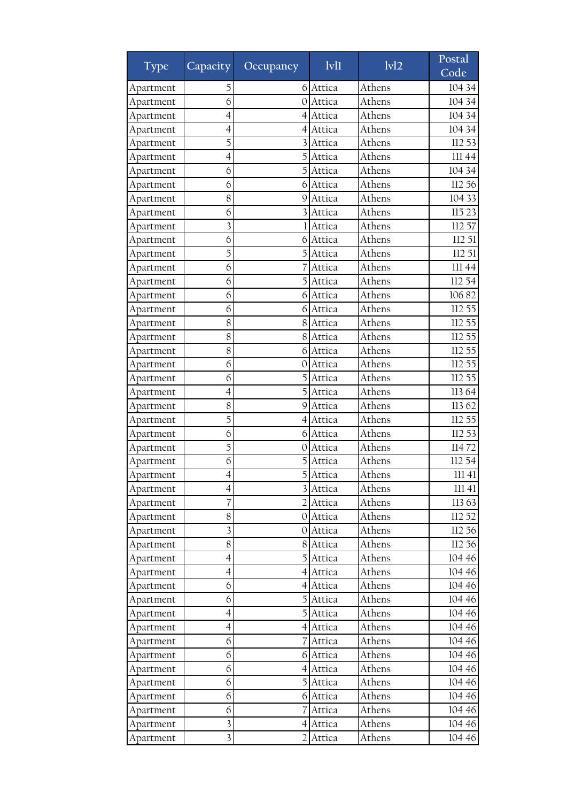| <b>Type</b> | Capacity <sup>1</sup>    | Occupancy        | $1$ v $1$ | 1v12   | Postal<br>Code |
|-------------|--------------------------|------------------|-----------|--------|----------------|
| Apartment   | 5                        | 6                | Attica    | Athens | 104 34         |
| Apartment   | 6                        | $\left( \right)$ | Attica    | Athens | 104 34         |
| Apartment   | $\overline{4}$           | 4                | Attica    | Athens | 104 34         |
| Apartment   | 4                        | 4                | Attica    | Athens | 104 34         |
| Apartment   | 5                        |                  | Attica    | Athens | 112 53         |
| Apartment   | 4                        | 5                | Attica    | Athens | III 44         |
| Apartment   | 6                        | 5                | Attica    | Athens | 104 34         |
| Apartment   | 6                        | 6                | Attica    | Athens | 112 56         |
| Apartment   | 8                        | 9                | Attica    | Athens | 104 33         |
| Apartment   | 6                        | 3                | Attica    | Athens | 115 23         |
| Apartment   | $\overline{\mathbf{3}}$  |                  | Attica    | Athens | 112 57         |
| Apartment   | 6                        | 6                | Attica    | Athens | 112 51         |
| Apartment   | 5                        | 5                | Attica    | Athens | 112 51         |
| Apartment   | 6                        |                  | Attica    | Athens | 111 44         |
| Apartment   | 6                        |                  | Attica    | Athens | 112 54         |
| Apartment   | 6                        | 61               | Attica    | Athens | 10682          |
| Apartment   | 6                        | 6                | Attica    | Athens | 112 55         |
| Apartment   | 8                        | 8                | Attica    | Athens | 112 55         |
| Apartment   | 8                        | 8                | Attica    | Athens | 112 55         |
| Apartment   | 8                        | 6                | Attica    | Athens | 112 55         |
| Apartment   | 6                        | 0                | Attica    | Athens | 112 55         |
| Apartment   | 6                        |                  | Attica    | Athens | 112 55         |
| Apartment   | 4                        |                  | Attica    | Athens | 11364          |
| Apartment   | 8                        | 9                | Attica    | Athens | 11362          |
| Apartment   | 5                        | 4                | Attica    | Athens | 112 55         |
| Apartment   | 6                        | 6                | Attica    | Athens | 112 53         |
| Apartment   | 5                        | 0                | Attica    | Athens | 11472          |
| Apartment   | 6                        | 5                | Attica    | Athens | 112 54         |
| Apartment   | $\overline{4}$           | 5                | Attica    | Athens | 11141          |
| Apartment   | 4                        |                  | 3 Attica  | Athens | 11141          |
| Apartment   | 7                        |                  | Attica    | Athens | 11363          |
| Apartment   | 8                        | $\Omega$         | Attica    | Athens | 112 52         |
| Apartment   | $\overline{\mathbf{3}}$  | 0                | Attica    | Athens | 112 56         |
| Apartment   | 8                        | 8                | Attica    | Athens | 112 56         |
| Apartment   | $\overline{4}$           | 51               | Attica    | Athens | 104 46         |
| Apartment   | $\overline{\mathcal{A}}$ | $\overline{4}$   | Attica    | Athens | 104 46         |
| Apartment   | 6                        | 4                | Attica    | Athens | 104 46         |
| Apartment   | 6                        | 5                | Attica    | Athens | 104 46         |
| Apartment   | $\overline{\mathcal{A}}$ |                  | Attica    | Athens | 104 46         |
| Apartment   | $\overline{4}$           |                  | 4 Attica  | Athens | 104 46         |
| Apartment   | 6                        |                  | Attica    | Athens | 104 46         |
| Apartment   | 6                        |                  | 6 Attica  | Athens | 104 46         |
| Apartment   | 6                        | 41               | Attica    | Athens | 104 46         |
| Apartment   | 6                        | 5                | Attica    | Athens | 104 46         |
| Apartment   | 6                        | 6                | Attica    | Athens | 104 46         |
| Apartment   | 6                        |                  | Attica    | Athens | 104 46         |
| Apartment   | 3                        | 4                | Attica    | Athens | 104 46         |
| Apartment   | 3                        |                  | Attica    | Athens | 104 46         |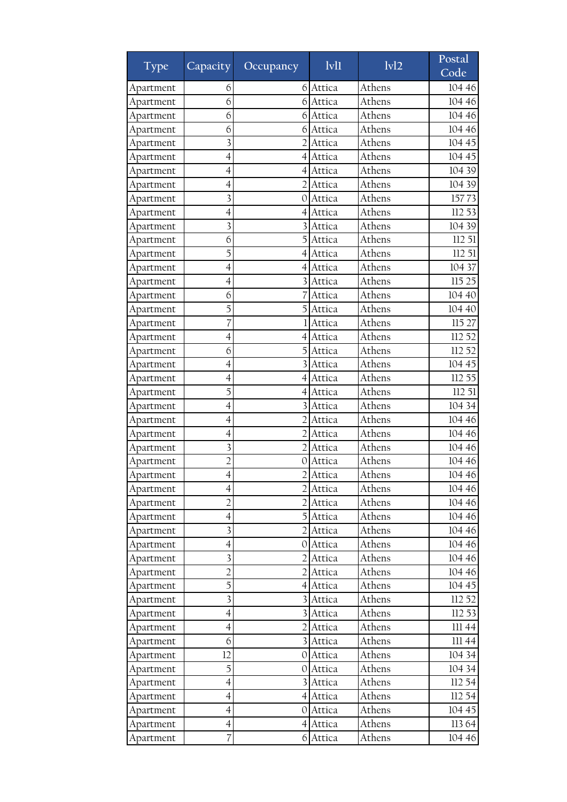| <b>Type</b> | Capacity <sup>1</sup>    | Occupancy        | $1$ v $1$        | $\overline{ivl2}$ | Postal<br>Code |
|-------------|--------------------------|------------------|------------------|-------------------|----------------|
| Apartment   | 6                        | 6                | Attica           | Athens            | 104 46         |
| Apartment   | 6                        |                  | Attica           | Athens            | 104 46         |
| Apartment   | 6                        | 6                | Attica           | Athens            | 104 46         |
| Apartment   | 6                        | 61               | Attica           | Athens            | 104 46         |
| Apartment   | $\overline{\mathbf{3}}$  | $\mathcal{D}$    | Attica           | Athens            | 104 45         |
| Apartment   | 4                        | 4                | Attica           | Athens            | 104 45         |
| Apartment   | $\overline{4}$           | $\overline{4}$   | Attica           | Athens            | 104 39         |
| Apartment   | 4                        |                  | Attica           | Athens            | 104 39         |
| Apartment   | $\overline{\mathbf{3}}$  | 0                | Attica           | Athens            | 15773          |
| Apartment   | $\overline{4}$           | 4                | Attica           | Athens            | 112 53         |
| Apartment   | $\overline{\mathbf{3}}$  |                  | Attica           | Athens            | 104 39         |
| Apartment   | 6                        | 5                | Attica           | Athens            | 112 51         |
| Apartment   | 5                        | 4                | Attica           | Athens            | 112 51         |
| Apartment   | 4                        |                  | Attica           | Athens            | 104 37         |
| Apartment   | $\overline{4}$           |                  | Attica           | Athens            | 115 25         |
| Apartment   | 6                        |                  | Attica           | Athens            | 104 40         |
| Apartment   | 5                        |                  | Attica           | Athens            | 104 40         |
| Apartment   | 7                        |                  | Attica           | Athens            | 115 27         |
| Apartment   | 4                        | 4                | Attica           | Athens            | 112 52         |
| Apartment   | 6                        |                  | Attica           | Athens            | 112 52         |
| Apartment   | 4                        |                  | Attica           | Athens            | 104 45         |
| Apartment   | $\overline{4}$           | 4                | Attica           | Athens            | 112 55         |
| Apartment   | 5                        | 4                | Attica           | Athens            | 112 51         |
| Apartment   | $\overline{4}$           | 3                | Attica           | Athens            | 104 34         |
| Apartment   | 4                        | 2                | Attica           | Athens            | 104 46         |
| Apartment   | $\overline{4}$           | $\overline{2}$   | Attica           | Athens            | 104 46         |
| Apartment   | $\overline{\mathbf{3}}$  |                  | Attica           | Athens            | 104 46         |
| Apartment   | $\overline{2}$           | 0                | Attica           | Athens            | 104 46         |
| Apartment   | $\overline{4}$           | $\overline{2}$   | Attica           | Athens            | 104 46         |
| Apartment   | 4                        |                  |                  | Athens            | 104 46         |
| Apartment   | $\overline{2}$           |                  | Attica<br>Attica | Athens            | 104 46         |
| Apartment   | $\overline{\mathcal{A}}$ |                  | Attica           | Athens            | 104 46         |
| Apartment   | $\overline{\mathbf{3}}$  |                  | Attica           | Athens            | 104 46         |
|             | $\overline{\mathcal{A}}$ |                  |                  | Athens            | 104 46         |
| Apartment   | 3                        | O.               | Attica           | Athens            |                |
| Apartment   |                          |                  | Attica           |                   | 104 46         |
| Apartment   | $\overline{c}$           |                  | Attica           | Athens            | 104 46         |
| Apartment   | 5                        | 4                | Attica           | Athens            | 104 45         |
| Apartment   | 3                        |                  | Attica           | Athens            | 112 52         |
| Apartment   | $\overline{\mathcal{A}}$ |                  | Attica           | Athens            | 112 53         |
| Apartment   | $\overline{4}$           |                  | Attica           | Athens            | 11144          |
| Apartment   | 6                        |                  | Attica           | Athens            | 11144          |
| Apartment   | 12                       | $\Omega$         | Attica           | Athens            | 104 34         |
| Apartment   | 5                        |                  | 0 Attica         | Athens            | 104 34         |
| Apartment   | 4                        |                  | Attica           | Athens            | 112 54         |
| Apartment   | $\overline{4}$           |                  | 4 Attica         | Athens            | 112 54         |
| Apartment   | $\overline{\mathcal{A}}$ | O.               | Attica           | Athens            | 104 45         |
| Apartment   | 4                        | $\left 4\right $ | Attica           | Athens            | 113 64         |
| Apartment   | 7                        |                  | 6 Attica         | Athens            | 104 46         |